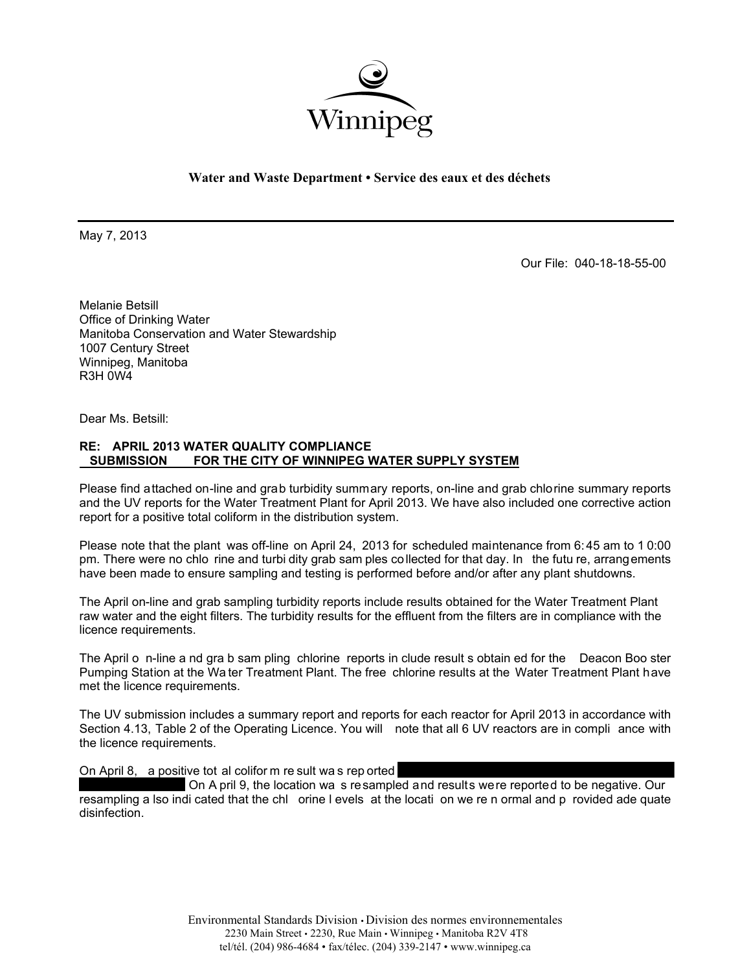

## **Water and Waste Department • Service des eaux et des déchets**

May 7, 2013

Our File: 040-18-18-55-00

Melanie Betsill Office of Drinking Water Manitoba Conservation and Water Stewardship 1007 Century Street Winnipeg, Manitoba R3H 0W4

Dear Ms. Betsill:

## **RE: APRIL 2013 WATER QUALITY COMPLIANCE SUBMISSION FOR THE CITY OF WINNIPEG WATER SUPPLY SYSTEM**

Please find attached on-line and grab turbidity summary reports, on-line and grab chlorine summary reports and the UV reports for the Water Treatment Plant for April 2013. We have also included one corrective action report for a positive total coliform in the distribution system.

Please note that the plant was off-line on April 24, 2013 for scheduled maintenance from 6: 45 am to 1 0:00 pm. There were no chlo rine and turbi dity grab sam ples collected for that day. In the futu re, arrangements have been made to ensure sampling and testing is performed before and/or after any plant shutdowns.

The April on-line and grab sampling turbidity reports include results obtained for the Water Treatment Plant raw water and the eight filters. The turbidity results for the effluent from the filters are in compliance with the licence requirements.

The April o n-line a nd gra b sam pling chlorine reports in clude result s obtain ed for the Deacon Boo ster Pumping Station at the Wa ter Treatment Plant. The free chlorine results at the Water Treatment Plant have met the licence requirements.

The UV submission includes a summary report and reports for each reactor for April 2013 in accordance with Section 4.13, Table 2 of the Operating Licence. You will note that all 6 UV reactors are in compli ance with the licence requirements.

On April 8, a positive tot al colifor m re sult was rep orted

 On A pril 9, the location wa s resampled and results were reported to be negative. Our resampling a lso indi cated that the chl orine l evels at the locati on we re n ormal and p rovided ade quate disinfection.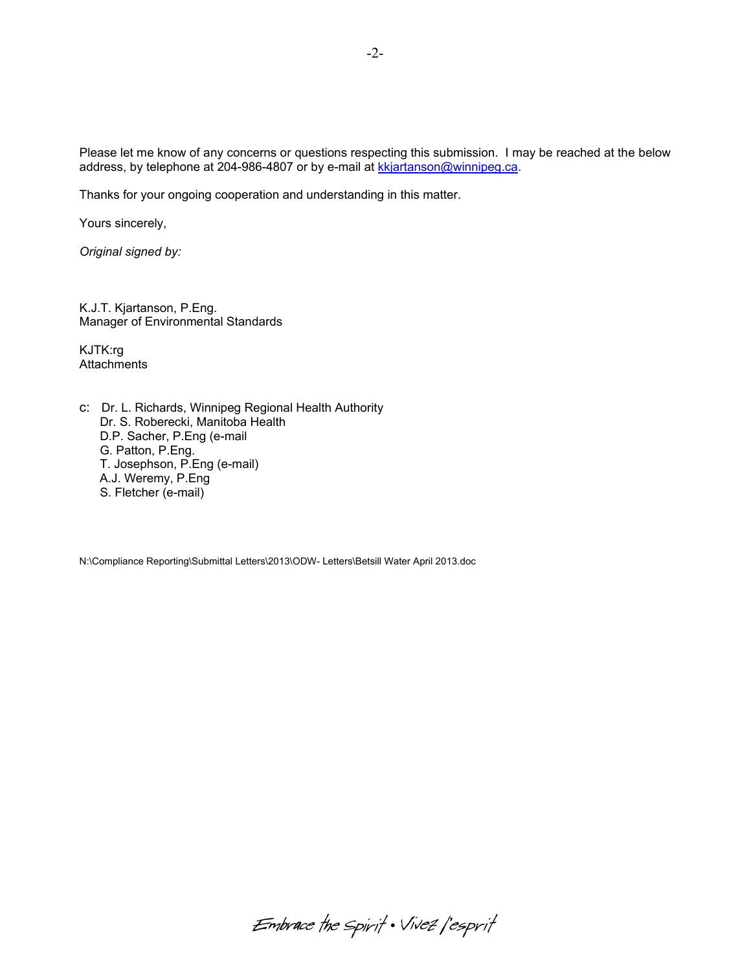Please let me know of any concerns or questions respecting this submission. I may be reached at the below address, by telephone at 204-986-4807 or by e-mail at kkjartanson@winnipeg.ca.

Thanks for your ongoing cooperation and understanding in this matter.

Yours sincerely,

*Original signed by:* 

K.J.T. Kjartanson, P.Eng. Manager of Environmental Standards

KJTK:rg **Attachments** 

c: Dr. L. Richards, Winnipeg Regional Health Authority Dr. S. Roberecki, Manitoba Health D.P. Sacher, P.Eng (e-mail G. Patton, P.Eng. T. Josephson, P.Eng (e-mail) A.J. Weremy, P.Eng S. Fletcher (e-mail)

N:\Compliance Reporting\Submittal Letters\2013\ODW- Letters\Betsill Water April 2013.doc

-2-

Embrace the spirit . Vivez l'esprit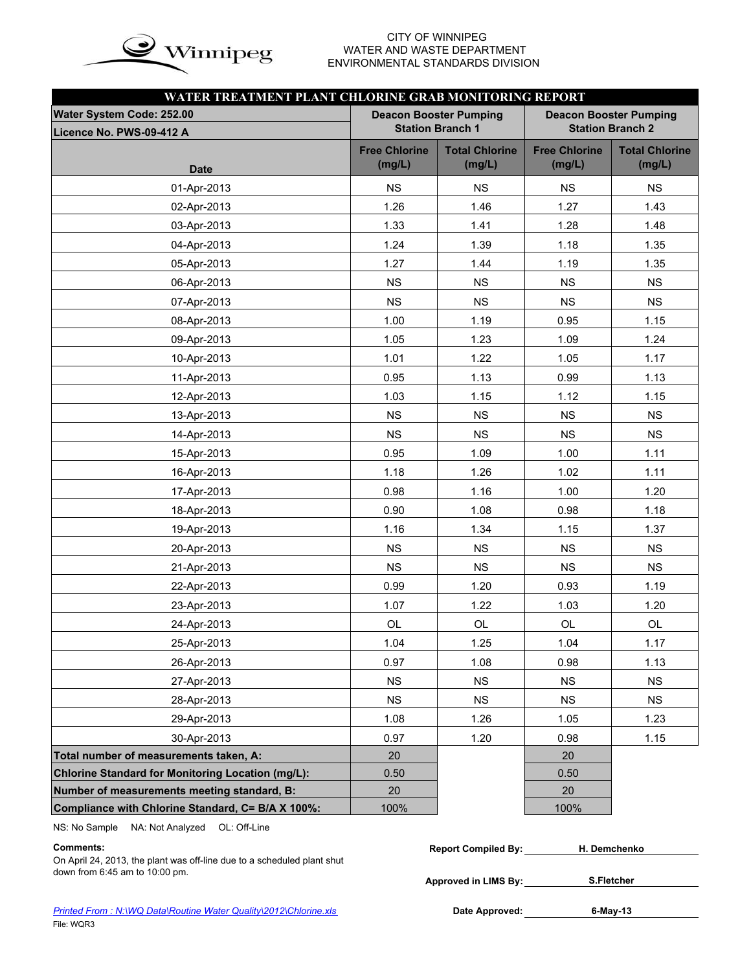

### CITY OF WINNIPEG<br>WATER AND WASTE DEPAR<br>ENVIRONMENTAL STANDARDS WATER AND WASTE DEPARTMENT ENVIRONMENTAL STANDARDS DIVISION

| WATER TREATMENT PLANT CHLORINE GRAB MONITORING REPORT    |                                                          |                                 |                                |                                 |
|----------------------------------------------------------|----------------------------------------------------------|---------------------------------|--------------------------------|---------------------------------|
| Water System Code: 252.00                                | <b>Deacon Booster Pumping</b><br><b>Station Branch 1</b> |                                 | <b>Deacon Booster Pumping</b>  | <b>Station Branch 2</b>         |
| Licence No. PWS-09-412 A                                 |                                                          |                                 |                                |                                 |
| <b>Date</b>                                              | <b>Free Chlorine</b><br>(mg/L)                           | <b>Total Chlorine</b><br>(mg/L) | <b>Free Chlorine</b><br>(mg/L) | <b>Total Chlorine</b><br>(mg/L) |
| 01-Apr-2013                                              | <b>NS</b>                                                | <b>NS</b>                       | <b>NS</b>                      | <b>NS</b>                       |
| 02-Apr-2013                                              | 1.26                                                     | 1.46                            | 1.27                           | 1.43                            |
| 03-Apr-2013                                              | 1.33                                                     | 1.41                            | 1.28                           | 1.48                            |
| 04-Apr-2013                                              | 1.24                                                     | 1.39                            | 1.18                           | 1.35                            |
| 05-Apr-2013                                              | 1.27                                                     | 1.44                            | 1.19                           | 1.35                            |
| 06-Apr-2013                                              | <b>NS</b>                                                | <b>NS</b>                       | <b>NS</b>                      | NS                              |
| 07-Apr-2013                                              | <b>NS</b>                                                | <b>NS</b>                       | <b>NS</b>                      | <b>NS</b>                       |
| 08-Apr-2013                                              | 1.00                                                     | 1.19                            | 0.95                           | 1.15                            |
| 09-Apr-2013                                              | 1.05                                                     | 1.23                            | 1.09                           | 1.24                            |
| 10-Apr-2013                                              | 1.01                                                     | 1.22                            | 1.05                           | 1.17                            |
| 11-Apr-2013                                              | 0.95                                                     | 1.13                            | 0.99                           | 1.13                            |
| 12-Apr-2013                                              | 1.03                                                     | 1.15                            | 1.12                           | 1.15                            |
| 13-Apr-2013                                              | <b>NS</b>                                                | <b>NS</b>                       | <b>NS</b>                      | <b>NS</b>                       |
| 14-Apr-2013                                              | <b>NS</b>                                                | NS                              | <b>NS</b>                      | <b>NS</b>                       |
| 15-Apr-2013                                              | 0.95                                                     | 1.09                            | 1.00                           | 1.11                            |
| 16-Apr-2013                                              | 1.18                                                     | 1.26                            | 1.02                           | 1.11                            |
| 17-Apr-2013                                              | 0.98                                                     | 1.16                            | 1.00                           | 1.20                            |
| 18-Apr-2013                                              | 0.90                                                     | 1.08                            | 0.98                           | 1.18                            |
| 19-Apr-2013                                              | 1.16                                                     | 1.34                            | 1.15                           | 1.37                            |
| 20-Apr-2013                                              | <b>NS</b>                                                | <b>NS</b>                       | <b>NS</b>                      | <b>NS</b>                       |
| 21-Apr-2013                                              | <b>NS</b>                                                | <b>NS</b>                       | <b>NS</b>                      | <b>NS</b>                       |
| 22-Apr-2013                                              | 0.99                                                     | 1.20                            | 0.93                           | 1.19                            |
| 23-Apr-2013                                              | 1.07                                                     | 1.22                            | 1.03                           | 1.20                            |
| 24-Apr-2013                                              | OL                                                       | OL                              | OL                             | OL                              |
| 25-Apr-2013                                              | 1.04                                                     | 1.25                            | 1.04                           | 1.17                            |
| 26-Apr-2013                                              | 0.97                                                     | 1.08                            | 0.98                           | 1.13                            |
| 27-Apr-2013                                              | <b>NS</b>                                                | <b>NS</b>                       | <b>NS</b>                      | <b>NS</b>                       |
| 28-Apr-2013                                              | <b>NS</b>                                                | NS                              | <b>NS</b>                      | <b>NS</b>                       |
| 29-Apr-2013                                              | 1.08                                                     | 1.26                            | 1.05                           | 1.23                            |
| 30-Apr-2013                                              | 0.97                                                     | 1.20                            | 0.98                           | 1.15                            |
| Total number of measurements taken, A:                   | 20                                                       |                                 | 20                             |                                 |
| <b>Chlorine Standard for Monitoring Location (mg/L):</b> | 0.50                                                     |                                 | 0.50                           |                                 |
| Number of measurements meeting standard, B:              | 20                                                       |                                 | 20                             |                                 |
| Compliance with Chlorine Standard, C= B/A X 100%:        | 100%                                                     |                                 | 100%                           |                                 |

NS: No Sample NA: Not Analyzed OL: Off-Line

### **Comments: Report Compiled By: Report Compiled By: Report Compiled By: Report Compiled By:**

On April 24, 2013, the plant was off-line due to a scheduled plant shut down from 6:45 am to 10:00 pm.

| <b>Report Compiled By:</b> | H. Demchenko      |  |
|----------------------------|-------------------|--|
|                            |                   |  |
| Approved in LIMS By:       | <b>S.Fletcher</b> |  |

**6-May-13**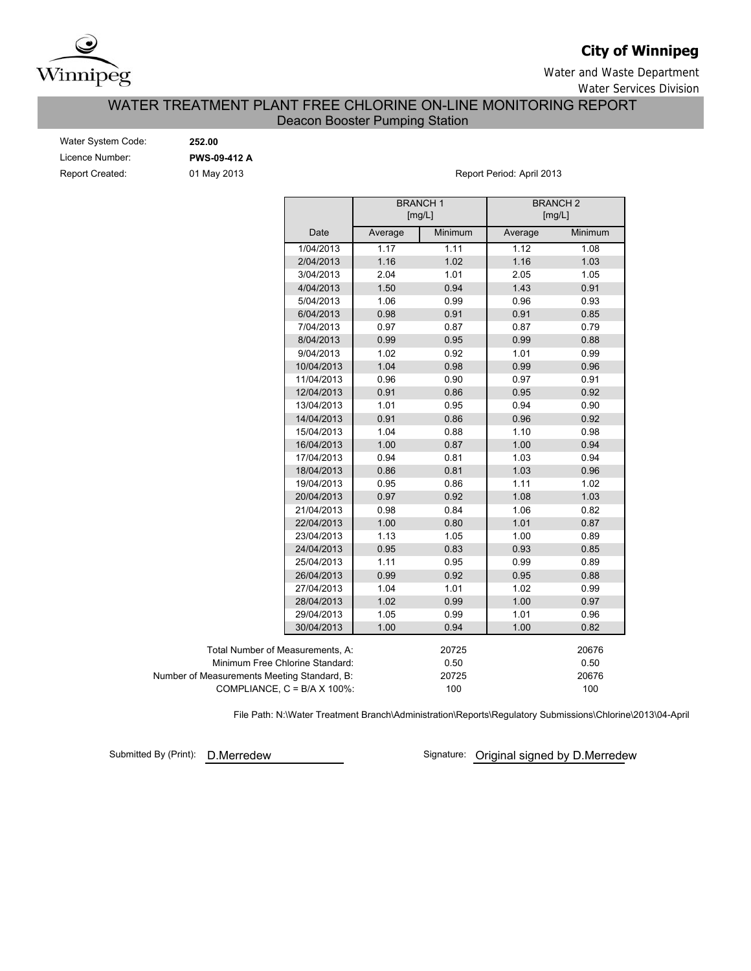

## **City of Winnipeg**

Water and Waste Department

Water Services Division

## WATER TREATMENT PLANT FREE CHLORINE ON-LINE MONITORING REPORT Deacon Booster Pumping Station

| Water System Code:     |  |
|------------------------|--|
| Licence Number:        |  |
| <b>Report Created:</b> |  |

Water System Code: **252.00** Licence Number: **PWS-09-412 A**

01 May 2013 **Report Period: April 2013** 

|                                             |            |         | <b>BRANCH1</b><br>[mg/L] | <b>BRANCH2</b><br>[mg/L] |         |
|---------------------------------------------|------------|---------|--------------------------|--------------------------|---------|
|                                             | Date       | Average | Minimum                  | Average                  | Minimum |
|                                             | 1/04/2013  | 1.17    | 1.11                     | 1.12                     | 1.08    |
|                                             | 2/04/2013  | 1.16    | 1.02                     | 1.16                     | 1.03    |
|                                             | 3/04/2013  | 2.04    | 1.01                     | 2.05                     | 1.05    |
|                                             | 4/04/2013  | 1.50    | 0.94                     | 1.43                     | 0.91    |
|                                             | 5/04/2013  | 1.06    | 0.99                     | 0.96                     | 0.93    |
|                                             | 6/04/2013  | 0.98    | 0.91                     | 0.91                     | 0.85    |
|                                             | 7/04/2013  | 0.97    | 0.87                     | 0.87                     | 0.79    |
|                                             | 8/04/2013  | 0.99    | 0.95                     | 0.99                     | 0.88    |
|                                             | 9/04/2013  | 1.02    | 0.92                     | 1.01                     | 0.99    |
|                                             | 10/04/2013 | 1.04    | 0.98                     | 0.99                     | 0.96    |
|                                             | 11/04/2013 | 0.96    | 0.90                     | 0.97                     | 0.91    |
|                                             | 12/04/2013 | 0.91    | 0.86                     | 0.95                     | 0.92    |
|                                             | 13/04/2013 | 1.01    | 0.95                     | 0.94                     | 0.90    |
|                                             | 14/04/2013 | 0.91    | 0.86                     | 0.96                     | 0.92    |
|                                             | 15/04/2013 | 1.04    | 0.88                     | 1.10                     | 0.98    |
|                                             | 16/04/2013 | 1.00    | 0.87                     | 1.00                     | 0.94    |
|                                             | 17/04/2013 | 0.94    | 0.81                     | 1.03                     | 0.94    |
|                                             | 18/04/2013 | 0.86    | 0.81                     | 1.03                     | 0.96    |
|                                             | 19/04/2013 | 0.95    | 0.86                     | 1.11                     | 1.02    |
|                                             | 20/04/2013 | 0.97    | 0.92                     | 1.08                     | 1.03    |
|                                             | 21/04/2013 | 0.98    | 0.84                     | 1.06                     | 0.82    |
|                                             | 22/04/2013 | 1.00    | 0.80                     | 1.01                     | 0.87    |
|                                             | 23/04/2013 | 1.13    | 1.05                     | 1.00                     | 0.89    |
|                                             | 24/04/2013 | 0.95    | 0.83                     | 0.93                     | 0.85    |
|                                             | 25/04/2013 | 1.11    | 0.95                     | 0.99                     | 0.89    |
|                                             | 26/04/2013 | 0.99    | 0.92                     | 0.95                     | 0.88    |
|                                             | 27/04/2013 | 1.04    | 1.01                     | 1.02                     | 0.99    |
|                                             | 28/04/2013 | 1.02    | 0.99                     | 1.00                     | 0.97    |
|                                             | 29/04/2013 | 1.05    | 0.99                     | 1.01                     | 0.96    |
|                                             | 30/04/2013 | 1.00    | 0.94                     | 1.00                     | 0.82    |
| Total Number of Measurements, A:            |            |         | 20725                    |                          | 20676   |
| Minimum Free Chlorine Standard:             |            |         | 0.50                     |                          | 0.50    |
| Number of Measurements Meeting Standard, B: |            |         | 20725                    |                          | 20676   |
| COMPLIANCE, $C = B/A \times 100\%$ :        |            |         | 100                      |                          | 100     |

File Path: N:\Water Treatment Branch\Administration\Reports\Regulatory Submissions\Chlorine\2013\04-April

Submitted By (Print): D.Merredew

Signature: Original signed by D.Merredew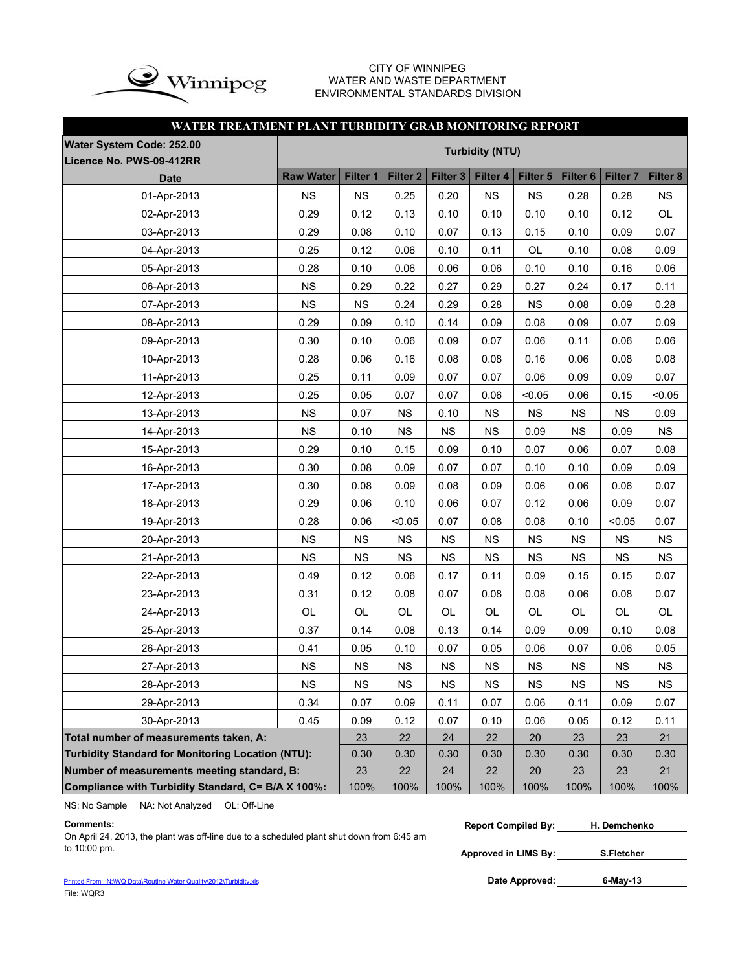

### CITY OF WINNIPEG WATER AND WASTE DEPARTMENT ENVIRONMENTAL STANDARDS DIVISION

## **WATER TREATMENT PLANT TURBIDITY GRAB MONITORING REPORT**

| Water System Code: 252.00                                |                                                                      |           |                     |                     |                        |           |                     |                     |           |  |  |  |  |
|----------------------------------------------------------|----------------------------------------------------------------------|-----------|---------------------|---------------------|------------------------|-----------|---------------------|---------------------|-----------|--|--|--|--|
| Licence No. PWS-09-412RR                                 |                                                                      |           |                     |                     | <b>Turbidity (NTU)</b> |           |                     |                     |           |  |  |  |  |
| <b>Date</b>                                              | <b>Raw Water</b>                                                     | Filter 1  | Filter <sub>2</sub> | Filter <sub>3</sub> | Filter 4               | Filter 5  | Filter <sub>6</sub> | Filter <sub>7</sub> | Filter 8  |  |  |  |  |
| 01-Apr-2013                                              | <b>NS</b>                                                            | <b>NS</b> | 0.25                | 0.20                | NS                     | <b>NS</b> | 0.28                | 0.28                | <b>NS</b> |  |  |  |  |
| 02-Apr-2013                                              | 0.29                                                                 | 0.12      | 0.13                | 0.10                | 0.10                   | 0.10      | 0.10                | 0.12                | OL        |  |  |  |  |
| 03-Apr-2013                                              | 0.29                                                                 | 0.08      | 0.10                | 0.07                | 0.13                   | 0.15      | 0.10                | 0.09                | 0.07      |  |  |  |  |
| 04-Apr-2013                                              | 0.25                                                                 | 0.12      | 0.06                | 0.10                | 0.11                   | OL        | 0.10                | 0.08                | 0.09      |  |  |  |  |
| 05-Apr-2013                                              | 0.28                                                                 | 0.10      | 0.06                | 0.06                | 0.06                   | 0.10      | 0.10                | 0.16                | 0.06      |  |  |  |  |
| 06-Apr-2013                                              | <b>NS</b>                                                            | 0.29      | 0.22                | 0.27                | 0.29                   | 0.27      | 0.24                | 0.17                | 0.11      |  |  |  |  |
| 07-Apr-2013                                              | <b>NS</b>                                                            | <b>NS</b> | 0.24                | 0.29                | 0.28                   | <b>NS</b> | 0.08                | 0.09                | 0.28      |  |  |  |  |
| 08-Apr-2013                                              | 0.29                                                                 | 0.09      | 0.10                | 0.14                | 0.09                   | 0.08      | 0.09                | 0.07                | 0.09      |  |  |  |  |
| 09-Apr-2013                                              | 0.30                                                                 | 0.10      | 0.06                | 0.09                | 0.07                   | 0.06      | 0.11                | 0.06                | 0.06      |  |  |  |  |
| 10-Apr-2013                                              | 0.28                                                                 | 0.06      | 0.16                | 0.08                | 0.08                   | 0.16      | 0.06                | 0.08                | 0.08      |  |  |  |  |
| 11-Apr-2013                                              | 0.25                                                                 | 0.11      | 0.09                | 0.07                | 0.07                   | 0.06      | 0.09                | 0.09                | 0.07      |  |  |  |  |
| 12-Apr-2013                                              | 0.25                                                                 | 0.05      | 0.07                | 0.07                | 0.06                   | < 0.05    | 0.06                | 0.15                | < 0.05    |  |  |  |  |
| 13-Apr-2013                                              | <b>NS</b>                                                            | 0.07      | <b>NS</b>           | 0.10                | NS                     | <b>NS</b> | <b>NS</b>           | NS                  | 0.09      |  |  |  |  |
| 14-Apr-2013                                              | <b>NS</b>                                                            | 0.10      | <b>NS</b>           | <b>NS</b>           | NS                     | 0.09      | <b>NS</b>           | 0.09                | <b>NS</b> |  |  |  |  |
| 15-Apr-2013                                              | 0.29                                                                 | 0.10      | 0.15                | 0.09                | 0.10                   | 0.07      | 0.06                | 0.07                | 0.08      |  |  |  |  |
| 16-Apr-2013                                              | 0.30                                                                 | 0.08      | 0.09                | 0.07                | 0.07                   | 0.10      | 0.10                | 0.09                | 0.09      |  |  |  |  |
| 17-Apr-2013                                              | 0.30                                                                 | 0.08      | 0.09                | 0.08                | 0.09                   | 0.06      | 0.06                | 0.06                | 0.07      |  |  |  |  |
| 18-Apr-2013                                              | 0.29                                                                 | 0.06      | 0.10                | 0.06                | 0.07                   | 0.12      | 0.06                | 0.09                | 0.07      |  |  |  |  |
| 19-Apr-2013                                              | 0.28                                                                 | 0.06      | < 0.05              | 0.07                | 0.08                   | 0.08      | 0.10                | < 0.05              | 0.07      |  |  |  |  |
| 20-Apr-2013                                              | <b>NS</b>                                                            | <b>NS</b> | <b>NS</b>           | <b>NS</b>           | NS                     | <b>NS</b> | <b>NS</b>           | NS                  | <b>NS</b> |  |  |  |  |
| 21-Apr-2013                                              | <b>NS</b>                                                            | <b>NS</b> | <b>NS</b>           | <b>NS</b>           | NS                     | <b>NS</b> | <b>NS</b>           | NS                  | <b>NS</b> |  |  |  |  |
| 22-Apr-2013                                              | 0.49                                                                 | 0.12      | 0.06                | 0.17                | 0.11                   | 0.09      | 0.15                | 0.15                | 0.07      |  |  |  |  |
| 23-Apr-2013                                              | 0.31                                                                 | 0.12      | 0.08                | 0.07                | 0.08                   | 0.08      | 0.06                | 0.08                | 0.07      |  |  |  |  |
| 24-Apr-2013                                              | OL                                                                   | OL        | OL                  | OL                  | OL                     | OL        | OL                  | OL                  | OL        |  |  |  |  |
| 25-Apr-2013                                              | 0.37                                                                 | 0.14      | 0.08                | 0.13                | 0.14                   | 0.09      | 0.09                | 0.10                | 0.08      |  |  |  |  |
| 26-Apr-2013                                              | 0.41                                                                 | 0.05      | 0.10                | 0.07                | 0.05                   | 0.06      | 0.07                | 0.06                | 0.05      |  |  |  |  |
| 27-Apr-2013                                              | <b>NS</b>                                                            | <b>NS</b> | <b>NS</b>           | <b>NS</b>           | NS                     | <b>NS</b> | <b>NS</b>           | NS                  | <b>NS</b> |  |  |  |  |
| 28-Apr-2013                                              | NS                                                                   | NS        | NS                  | NS                  | NS                     | NS        | NS                  | NS                  | NS        |  |  |  |  |
| 29-Apr-2013                                              | 0.34                                                                 | 0.07      | 0.09                | 0.11                | 0.07                   | 0.06      | 0.11                | 0.09                | 0.07      |  |  |  |  |
| 30-Apr-2013                                              | 0.45<br>0.12<br>0.07<br>0.10<br>0.06<br>0.05<br>0.09<br>0.12<br>0.11 |           |                     |                     |                        |           |                     |                     |           |  |  |  |  |
| Total number of measurements taken, A:                   |                                                                      | 23        | 22                  | 24                  | 22                     | 20        | 23                  | 23                  | 21        |  |  |  |  |
| <b>Turbidity Standard for Monitoring Location (NTU):</b> |                                                                      | 0.30      | 0.30                | 0.30                | 0.30                   | 0.30      | 0.30                | 0.30                | 0.30      |  |  |  |  |
| Number of measurements meeting standard, B:              | 22<br>23<br>24<br>22<br>20<br>23<br>23<br>21                         |           |                     |                     |                        |           |                     |                     |           |  |  |  |  |
| Compliance with Turbidity Standard, C= B/A X 100%:       |                                                                      | 100%      | 100%                | 100%                | 100%                   | 100%      | 100%                | 100%                | 100%      |  |  |  |  |

NS: No Sample NA: Not Analyzed OL: Off-Line

On April 24, 2013, the plant was off-line due to a scheduled plant shut down from 6:45 am to 10:00 pm.

| Comments: |  |  | <b>Report Compiled By:</b> | H. Demchenko |
|-----------|--|--|----------------------------|--------------|
|           |  |  |                            |              |

**Approved in LIMS By: S.Fletcher**

Printed From : N:\WQ Data\Routine Water Quality\2012\Turbidity.xls File: WQR3

Date Approved: 6-May-13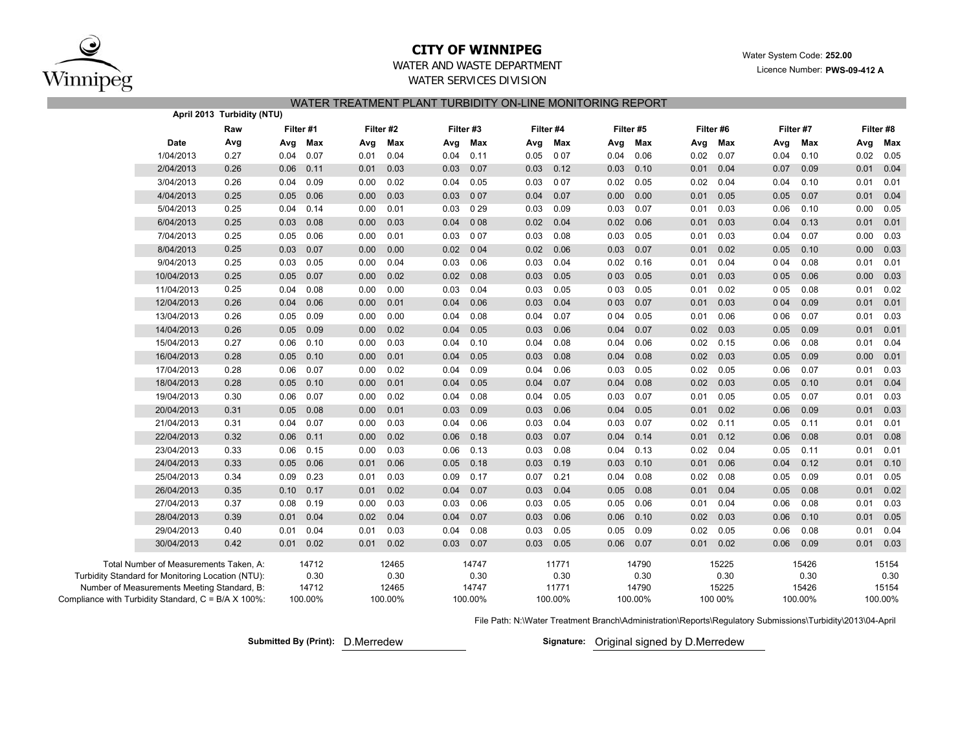

## **CITY OF WINNIPEG**

**252.00** Water System Code: 252.00 Licence Number: **PWS-09-412 A**

### WATER AND WASTE DEPARTMENTWATER SERVICES DIVISION

WATER TREATMENT PLANT TURBIDITY ON-LINE MONITORING REPORT

|                                                     |                                                   | April 2013 Turbidity (NTU) |      |           |      |           |      |           |      |           |       |           |      |           |       |           |      |           |  |
|-----------------------------------------------------|---------------------------------------------------|----------------------------|------|-----------|------|-----------|------|-----------|------|-----------|-------|-----------|------|-----------|-------|-----------|------|-----------|--|
|                                                     |                                                   | Raw                        |      | Filter #1 |      | Filter #2 |      | Filter #3 |      | Filter #4 |       | Filter #5 |      | Filter #6 |       | Filter #7 |      | Filter #8 |  |
|                                                     | <b>Date</b>                                       | Avg                        | Avg  | Max       | Avg  | Max       | Avg  | Max       | Avg  | Max       | Avg   | Max       | Avg  | Max       | Avg   | Max       |      | Avg Max   |  |
|                                                     | 1/04/2013                                         | 0.27                       | 0.04 | 0.07      | 0.01 | 0.04      | 0.04 | 0.11      | 0.05 | 007       | 0.04  | 0.06      | 0.02 | 0.07      | 0.04  | 0.10      | 0.02 | 0.05      |  |
|                                                     | 2/04/2013                                         | 0.26                       | 0.06 | 0.11      | 0.01 | 0.03      | 0.03 | 0.07      | 0.03 | 0.12      | 0.03  | 0.10      | 0.01 | 0.04      | 0.07  | 0.09      | 0.01 | 0.04      |  |
|                                                     | 3/04/2013                                         | 0.26                       | 0.04 | 0.09      | 0.00 | 0.02      | 0.04 | 0.05      | 0.03 | 007       | 0.02  | 0.05      | 0.02 | 0.04      | 0.04  | 0.10      | 0.01 | 0.01      |  |
|                                                     | 4/04/2013                                         | 0.25                       | 0.05 | 0.06      | 0.00 | 0.03      | 0.03 | 007       | 0.04 | 0.07      | 0.00  | 0.00      | 0.01 | 0.05      | 0.05  | 0.07      | 0.01 | 0.04      |  |
|                                                     | 5/04/2013                                         | 0.25                       | 0.04 | 0.14      | 0.00 | 0.01      | 0.03 | 029       | 0.03 | 0.09      | 0.03  | 0.07      | 0.01 | 0.03      | 0.06  | 0.10      | 0.00 | 0.05      |  |
|                                                     | 6/04/2013                                         | 0.25                       | 0.03 | 0.08      | 0.00 | 0.03      | 0.04 | 008       | 0.02 | 0.04      | 0.02  | 0.06      | 0.01 | 0.03      | 0.04  | 0.13      | 0.01 | 0.01      |  |
|                                                     | 7/04/2013                                         | 0.25                       | 0.05 | 0.06      | 0.00 | 0.01      | 0.03 | 007       | 0.03 | 0.08      | 0.03  | 0.05      | 0.01 | 0.03      | 0.04  | 0.07      | 0.00 | 0.03      |  |
|                                                     | 8/04/2013                                         | 0.25                       | 0.03 | 0.07      | 0.00 | 0.00      | 0.02 | 004       | 0.02 | 0.06      | 0.03  | 0.07      | 0.01 | 0.02      | 0.05  | 0.10      | 0.00 | 0.03      |  |
|                                                     | 9/04/2013                                         | 0.25                       | 0.03 | 0.05      | 0.00 | 0.04      | 0.03 | 0.06      | 0.03 | 0.04      | 0.02  | 0.16      | 0.01 | 0.04      | 004   | 0.08      | 0.01 | 0.01      |  |
|                                                     | 10/04/2013                                        | 0.25                       | 0.05 | 0.07      | 0.00 | 0.02      | 0.02 | 0.08      | 0.03 | 0.05      | 0 0 3 | 0.05      | 0.01 | 0.03      | 0 0 5 | 0.06      | 0.00 | 0.03      |  |
|                                                     | 11/04/2013                                        | 0.25                       | 0.04 | 0.08      | 0.00 | 0.00      | 0.03 | 0.04      | 0.03 | 0.05      | 0 0 3 | 0.05      | 0.01 | 0.02      | 005   | 0.08      | 0.01 | 0.02      |  |
|                                                     | 12/04/2013                                        | 0.26                       | 0.04 | 0.06      | 0.00 | 0.01      | 0.04 | 0.06      | 0.03 | 0.04      | 0 0 3 | 0.07      | 0.01 | 0.03      | 0 0 4 | 0.09      | 0.01 | 0.01      |  |
|                                                     | 13/04/2013                                        | 0.26                       | 0.05 | 0.09      | 0.00 | 0.00      | 0.04 | 0.08      | 0.04 | 0.07      | 0 0 4 | 0.05      | 0.01 | 0.06      | 0 0 6 | 0.07      | 0.01 | 0.03      |  |
|                                                     | 14/04/2013                                        | 0.26                       | 0.05 | 0.09      | 0.00 | 0.02      | 0.04 | 0.05      | 0.03 | 0.06      | 0.04  | 0.07      | 0.02 | 0.03      | 0.05  | 0.09      | 0.01 | 0.01      |  |
|                                                     | 15/04/2013                                        | 0.27                       | 0.06 | 0.10      | 0.00 | 0.03      | 0.04 | 0.10      | 0.04 | 0.08      | 0.04  | 0.06      | 0.02 | 0.15      | 0.06  | 0.08      | 0.01 | 0.04      |  |
|                                                     | 16/04/2013                                        | 0.28                       | 0.05 | 0.10      | 0.00 | 0.01      | 0.04 | 0.05      | 0.03 | 0.08      | 0.04  | 0.08      | 0.02 | 0.03      | 0.05  | 0.09      | 0.00 | 0.01      |  |
|                                                     | 17/04/2013                                        | 0.28                       | 0.06 | 0.07      | 0.00 | 0.02      | 0.04 | 0.09      | 0.04 | 0.06      | 0.03  | 0.05      | 0.02 | 0.05      | 0.06  | 0.07      | 0.01 | 0.03      |  |
|                                                     | 18/04/2013                                        | 0.28                       | 0.05 | 0.10      | 0.00 | 0.01      | 0.04 | 0.05      | 0.04 | 0.07      | 0.04  | 0.08      | 0.02 | 0.03      | 0.05  | 0.10      | 0.01 | 0.04      |  |
|                                                     | 19/04/2013                                        | 0.30                       | 0.06 | 0.07      | 0.00 | 0.02      | 0.04 | 0.08      | 0.04 | 0.05      | 0.03  | 0.07      | 0.01 | 0.05      | 0.05  | 0.07      | 0.01 | 0.03      |  |
|                                                     | 20/04/2013                                        | 0.31                       | 0.05 | 0.08      | 0.00 | 0.01      | 0.03 | 0.09      | 0.03 | 0.06      | 0.04  | 0.05      | 0.01 | 0.02      | 0.06  | 0.09      | 0.01 | 0.03      |  |
|                                                     | 21/04/2013                                        | 0.31                       | 0.04 | 0.07      | 0.00 | 0.03      | 0.04 | 0.06      | 0.03 | 0.04      | 0.03  | 0.07      | 0.02 | 0.11      | 0.05  | 0.11      | 0.01 | 0.01      |  |
|                                                     | 22/04/2013                                        | 0.32                       | 0.06 | 0.11      | 0.00 | 0.02      | 0.06 | 0.18      | 0.03 | 0.07      | 0.04  | 0.14      | 0.01 | 0.12      | 0.06  | 0.08      | 0.01 | 0.08      |  |
|                                                     | 23/04/2013                                        | 0.33                       | 0.06 | 0.15      | 0.00 | 0.03      | 0.06 | 0.13      | 0.03 | 0.08      | 0.04  | 0.13      | 0.02 | 0.04      | 0.05  | 0.11      | 0.01 | 0.01      |  |
|                                                     | 24/04/2013                                        | 0.33                       | 0.05 | 0.06      | 0.01 | 0.06      | 0.05 | 0.18      | 0.03 | 0.19      | 0.03  | 0.10      | 0.01 | 0.06      | 0.04  | 0.12      | 0.01 | 0.10      |  |
|                                                     | 25/04/2013                                        | 0.34                       | 0.09 | 0.23      | 0.01 | 0.03      | 0.09 | 0.17      | 0.07 | 0.21      | 0.04  | 0.08      | 0.02 | 0.08      | 0.05  | 0.09      | 0.01 | 0.05      |  |
|                                                     | 26/04/2013                                        | 0.35                       | 0.10 | 0.17      | 0.01 | 0.02      | 0.04 | 0.07      | 0.03 | 0.04      | 0.05  | 0.08      | 0.01 | 0.04      | 0.05  | 0.08      | 0.01 | 0.02      |  |
|                                                     | 27/04/2013                                        | 0.37                       | 0.08 | 0.19      | 0.00 | 0.03      | 0.03 | 0.06      | 0.03 | 0.05      | 0.05  | 0.06      | 0.01 | 0.04      | 0.06  | 0.08      | 0.01 | 0.03      |  |
|                                                     | 28/04/2013                                        | 0.39                       | 0.01 | 0.04      | 0.02 | 0.04      | 0.04 | 0.07      | 0.03 | 0.06      | 0.06  | 0.10      | 0.02 | 0.03      | 0.06  | 0.10      | 0.01 | 0.05      |  |
|                                                     | 29/04/2013                                        | 0.40                       | 0.01 | 0.04      | 0.01 | 0.03      | 0.04 | 0.08      | 0.03 | 0.05      | 0.05  | 0.09      | 0.02 | 0.05      | 0.06  | 0.08      | 0.01 | 0.04      |  |
|                                                     | 30/04/2013                                        | 0.42                       | 0.01 | 0.02      | 0.01 | 0.02      | 0.03 | 0.07      | 0.03 | 0.05      | 0.06  | 0.07      | 0.01 | 0.02      | 0.06  | 0.09      | 0.01 | 0.03      |  |
|                                                     | Total Number of Measurements Taken, A:            |                            |      | 14712     |      | 12465     |      | 14747     |      | 11771     |       | 14790     |      | 15225     |       | 15426     |      | 15154     |  |
|                                                     | Turbidity Standard for Monitoring Location (NTU): |                            |      | 0.30      |      | 0.30      |      | 0.30      |      | 0.30      |       | 0.30      |      | 0.30      |       | 0.30      |      | 0.30      |  |
|                                                     | Number of Measurements Meeting Standard, B:       |                            |      | 14712     |      | 12465     |      | 14747     |      | 11771     |       | 14790     |      | 15225     |       | 15426     |      | 15154     |  |
| Compliance with Turbidity Standard, C = B/A X 100%: |                                                   |                            |      | 100.00%   |      | 100.00%   |      | 100.00%   |      | 100.00%   |       | 100.00%   |      | 100 00%   |       | 100.00%   |      | 100.00%   |  |

File Path: N:\Water Treatment Branch\Administration\Reports\Regulatory Submissions\Turbidity\2013\04-April

**Submitted By (Print): Signature:** D.Merredew

Signature: Original signed by D.Merredew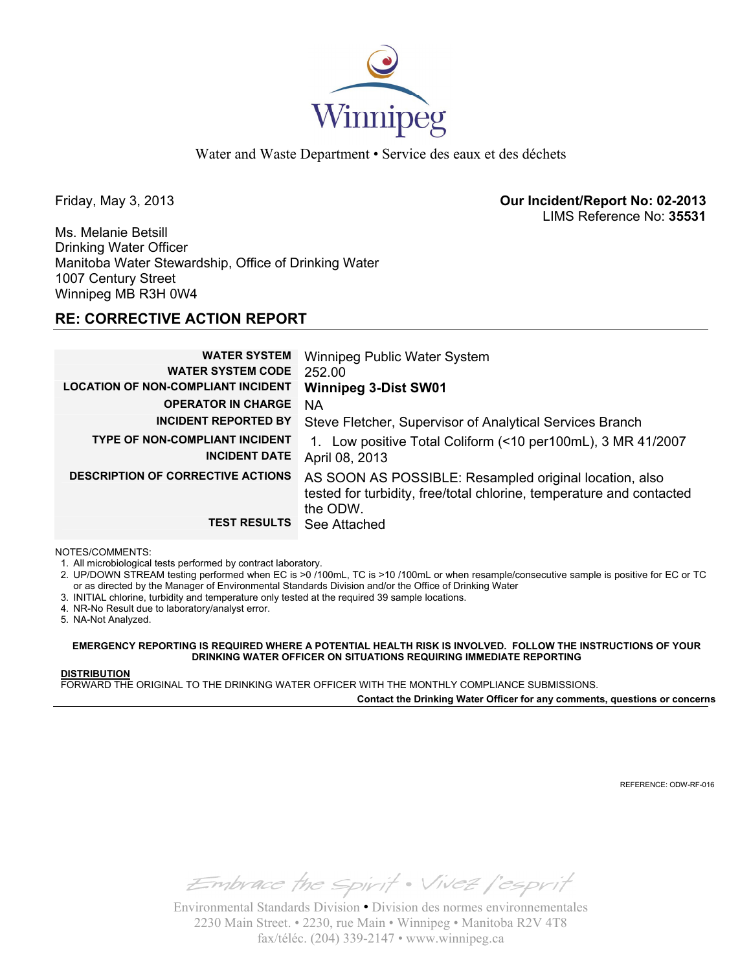

Water and Waste Department • Service des eaux et des déchets

Friday, May 3, 2013 **Our Incident/Report No: 02-2013**  LIMS Reference No: **35531**

Ms. Melanie Betsill Drinking Water Officer Manitoba Water Stewardship, Office of Drinking Water 1007 Century Street Winnipeg MB R3H 0W4

## **RE: CORRECTIVE ACTION REPORT**

| <b>WATER SYSTEM</b>                       | Winnipeg Public Water System                                         |
|-------------------------------------------|----------------------------------------------------------------------|
| <b>WATER SYSTEM CODE</b>                  | 252.00                                                               |
| <b>LOCATION OF NON-COMPLIANT INCIDENT</b> | <b>Winnipeg 3-Dist SW01</b>                                          |
| <b>OPERATOR IN CHARGE</b>                 | NA                                                                   |
| <b>INCIDENT REPORTED BY</b>               | Steve Fletcher, Supervisor of Analytical Services Branch             |
| <b>TYPE OF NON-COMPLIANT INCIDENT</b>     | 1. Low positive Total Coliform (<10 per100mL), 3 MR 41/2007          |
| <b>INCIDENT DATE</b>                      | April 08, 2013                                                       |
| <b>DESCRIPTION OF CORRECTIVE ACTIONS</b>  | AS SOON AS POSSIBLE: Resampled original location, also               |
|                                           | tested for turbidity, free/total chlorine, temperature and contacted |
|                                           | the ODW.                                                             |
| <b>TEST RESULTS</b>                       | See Attached                                                         |

NOTES/COMMENTS:

1. All microbiological tests performed by contract laboratory.

2. UP/DOWN STREAM testing performed when EC is >0 /100mL, TC is >10 /100mL or when resample/consecutive sample is positive for EC or TC or as directed by the Manager of Environmental Standards Division and/or the Office of Drinking Water

- 3. INITIAL chlorine, turbidity and temperature only tested at the required 39 sample locations.
- 4. NR-No Result due to laboratory/analyst error.

5. NA-Not Analyzed.

**EMERGENCY REPORTING IS REQUIRED WHERE A POTENTIAL HEALTH RISK IS INVOLVED. FOLLOW THE INSTRUCTIONS OF YOUR DRINKING WATER OFFICER ON SITUATIONS REQUIRING IMMEDIATE REPORTING**

## **DISTRIBUTION**

FORWARD THE ORIGINAL TO THE DRINKING WATER OFFICER WITH THE MONTHLY COMPLIANCE SUBMISSIONS.

**Contact the Drinking Water Officer for any comments, questions or concerns**

REFERENCE: ODW-RF-016

Embrace the spirit . Vivez l'esprit

Environmental Standards Division • Division des normes environnementales 2230 Main Street. • 2230, rue Main • Winnipeg • Manitoba R2V 4T8 fax/téléc. (204) 339-2147 • www.winnipeg.ca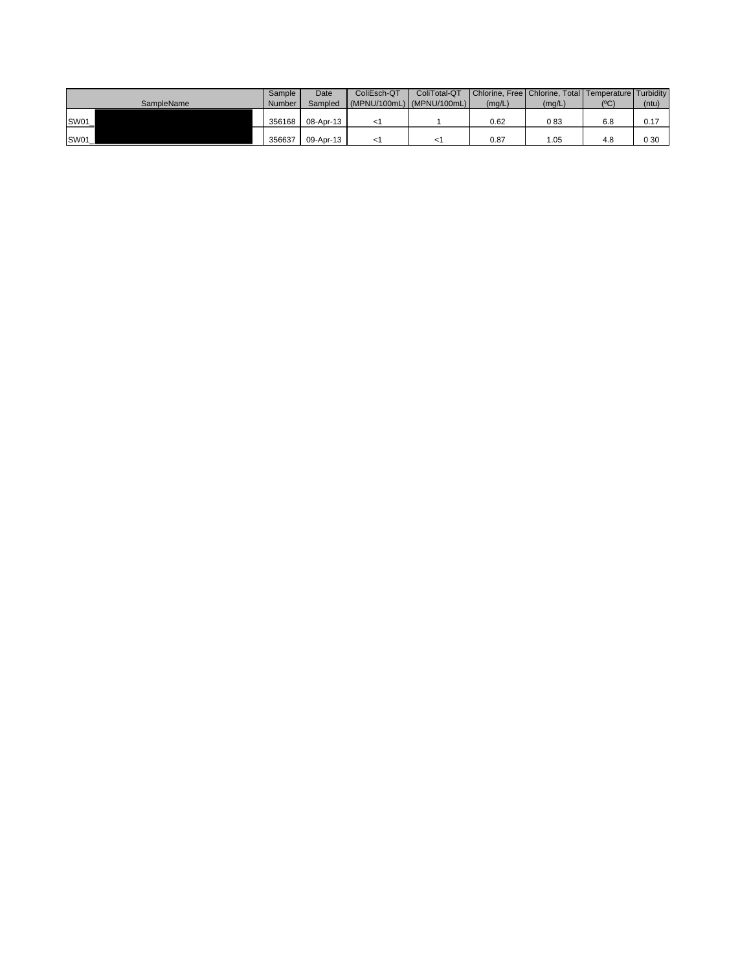|             | Sample | Date      | ColiEsch-QT               | ColiTotal-QT |        | Chlorine, Free   Chlorine, Total   Temperature   Turbidity |     |       |
|-------------|--------|-----------|---------------------------|--------------|--------|------------------------------------------------------------|-----|-------|
| SampleName  | Number | Sampled   | (MPNU/100mL) (MPNU/100mL) |              | (mq/L) | (mq/L)                                                     | (C) | (ntu) |
|             |        |           |                           |              |        |                                                            |     |       |
| SW01_       | 356168 | 08-Apr-13 |                           |              | 0.62   | 083                                                        | 6.8 | 0.17  |
|             |        |           |                           |              |        |                                                            |     |       |
| <b>SW01</b> | 356637 | 09-Apr-13 |                           |              | 0.87   | 1.05                                                       | 4.8 | 0 30  |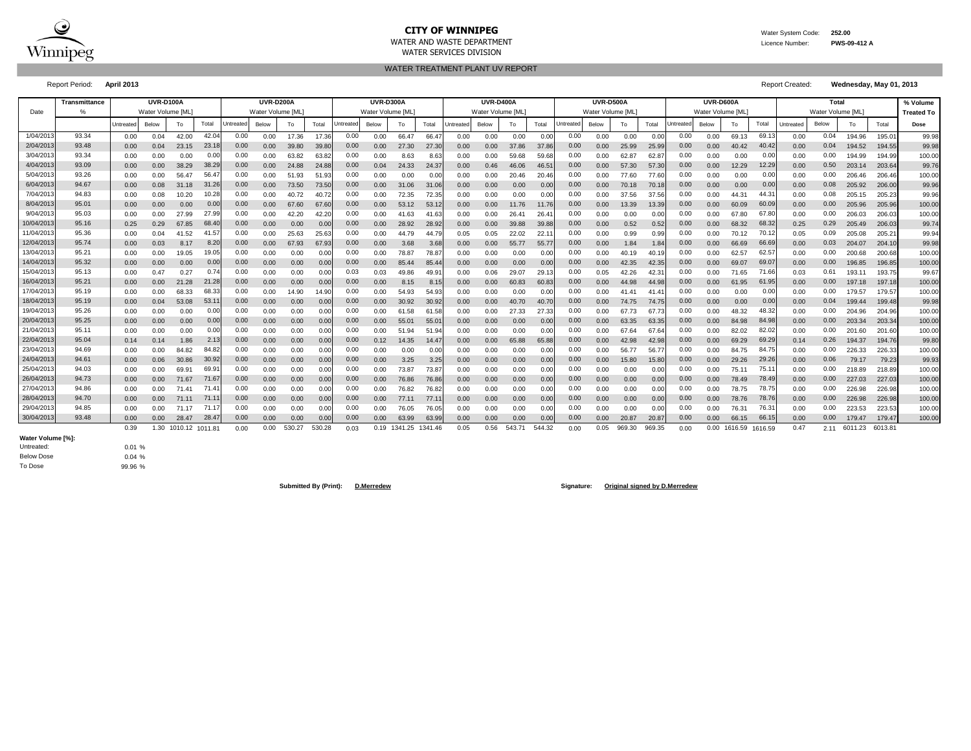

## **CITY OF WINNIPEG** WATER MATER WATER System Code: 252.00

WATER AND WASTE DEPARTMENT Licence Number: **PWS-09-412 A**

WATER TREATMENT PLANT UV REPORT WATER SERVICES DIVISION

Report Period: **April 2013** Report Created: **Wednesday, May 01, 2013**

|           | <b>Transmittance</b> |           | UVR-D100A         |                      |       |           | <b>UVR-D200A</b> |        |        |                  | UVR-D300A        |              |         |           | UVR-D400A        |        |        |           | <b>UVR-D500A</b> |        |        |           | UVR-D600A         |              |                |           | Total            |         |         | % Volume          |
|-----------|----------------------|-----------|-------------------|----------------------|-------|-----------|------------------|--------|--------|------------------|------------------|--------------|---------|-----------|------------------|--------|--------|-----------|------------------|--------|--------|-----------|-------------------|--------------|----------------|-----------|------------------|---------|---------|-------------------|
| Date      |                      |           | Water Volume [ML] |                      |       |           | Water Volume IML |        |        |                  | Water Volume IML |              |         |           | Water Volume IML |        |        |           | Water Volume IML |        |        |           | Water Volume [ML] |              |                |           | Water Volume IML |         |         | <b>Treated To</b> |
|           |                      | Untreated | Below             | To                   | Total | Untreated | Below            | To     | Total  | <b>Jntreated</b> | Below            | To           | Total   | Untreated | Below            | To     | Total  | Untreated | Below            | To     | Total  | Untreated | Below             | To           | Total          | Untreated | Below            | To      | Total   | Dose              |
| 1/04/201  | 93.34                | 0.00      | 0.04              | 42.00                | 42.0  | 0.00      | 0.00             | 17.36  | 17.36  | 0.00             | 0.00             | 66.47        | 66.47   | 0.00      | 0.00             | 0.00   | 0.00   | 0.00      | 0.00             | 0.00   | 0.00   | 0.00      | 0.00              | 69.13        | 69.1           | 0.00      | 0.04             | 194.96  | 195.0   | 99.98             |
| 2/04/201  | 93.48                | 0.00      | 0.04              | 23.15                | 23.18 | 0.00      | 0.00             | 39.80  | 39.8   | 0.00             | 0.00             | 27.30        | 27.3    | 0.00      | 0.00             | 37.86  | 37.8   | 0.00      | 0.00             | 25.99  | 25.9   | 0.00      | 0.00              | 40.42        | 40.42          | 0.00      | 0.04             | 194.52  | 194.55  | 99.98             |
| 3/04/201  | 93.34                | 0.00      | 0.00              | 0.00                 | 0.0   | 0.00      | 0.00             | 63.82  | 63.82  | 0.00             | 0.00             | 8.63         | 8.63    | 0.00      | 0.00             | 59.68  | 59.68  | 0.00      | 0.00             | 62.8   | 62.8   | 0.00      | 0.00              | 0.00         | 0.00           | 0.00      | 0.00             | 194.99  | 194.99  | 100.00            |
| 4/04/201  | 93.09                | 0.00      | 0.00              | 38.29                | 38.2  | 0.00      | 0.00             | 24.88  | 24.8   | 0.00             | 0.04             | 24.33        | 24.3    | 0.00      | 0.46             | 46.06  | 46.5   | 0.00      | 0.00             | 57.30  | 57.3   | 0.00      | 0.00              | 12.29        | 12.29          | 0.00      | 0.50             | 203.14  | 203.64  | 99.76             |
| 5/04/201  | 93.26                | 0.00      | 0.00              | 56.47                | 56.4  | 0.00      | 0.00             | 51.93  | 51.93  | 0.00             | 0.00             | 0.00         | 0.00    | 0.00      | 0.00             | 20.46  | 20.46  | 0.00      | 0.00             | 77.60  | 77.6   | 0.00      | 0.00              | 0.00         | 0.00           | 0.00      | 0.00             | 206.46  | 206.46  | 100.00            |
| 6/04/201  | 94.67                | 0.00      | 0.08              | 31.18                | 31.26 | 0.00      | 0.00             | 73.50  | 73.50  | 0.00             | 0.00             | 31.06        | 31.06   | 0.00      | 0.00             | 0.00   | 0.00   | 0.00      | 0.00             | 70.18  | 70.1   | 0.00      | 0.00              | 0.00         | 0.00           | 0.00      | 0.08             | 205.92  | 206.00  | 99.96             |
| 7/04/201  | 94.83                | 0.00      | 0.08              | 10.20                | 10.28 | 0.00      | 0.00             | 40.72  | 40.72  | 0.00             | 0.00             | 72.35        | 72.35   | 0.00      | 0.00             | 0.00   | 0.00   | 0.00      | 0.00             | 37.56  | 37.56  | 0.00      | 0.00              |              | $44.3^{\circ}$ | 0.00      | 0.08             | 205.15  | 205.23  | 99.96             |
| 8/04/201  | 95.01                | 0.00      | 0.00              | 0.00                 | 0.00  | 0.00      | 0.00             | 67.60  | 67.6   | 0.00             | 0.00             | 53.12        | 53.1    | 0.00      | 0.00             | 11.76  | 11.76  | 0.00      | 0.00             | 13.39  | 13.39  | 0.00      | 0.00              | 60.09        | 60.09          | 0.00      | 0.00             | 205.96  | 205.96  | 100.00            |
| 9/04/201  | 95.03                | 0.00      | 0.00              | 27.99                | 27.99 | 0.00      | 0.00             | 42.20  | 42.2   | 0.00             | 0.00             | 41.63        | 41.63   | 0.00      | 0.00             | 26.4   | 26.4   | 0.00      | 0.00             | 0.00   | 0.00   | 0.00      | 0.00              | 67.80        | 67.80          | 0.00      | 0.00             | 206.03  | 206.03  | 100.00            |
| 10/04/201 | 95.16                | 0.25      | 0.29              | 67.85                | 68.4  | 0.00      | 0.00             | 0.00   | 0.01   | 0.00             | 0.00             | 28.92        | 28.92   | 0.00      | 0.00             | 39.88  | 39.8   | 0.00      | 0.00             | 0.52   | 0.52   | 0.00      | 0.00              | 68.32        | 68.32          | 0.25      | 0.29             | 205.49  | 206.0   | 99.74             |
| 11/04/201 | 95.36                | 0.00      | 0.04              | 41.52                | 41.5  | 0.00      | 0.00             | 25.63  | 25.63  | 0.00             | 0.00             | 44.79        | 44.7    | 0.05      | 0.05             | 22.02  | 22.1   | 0.00      | 0.00             | 0.99   | 0.99   | 0.00      | 0.00              | 70.12        | 70.12          | 0.05      | 0.09             | 205.08  | 205.2'  | 99.94             |
| 12/04/201 | 95.74                | 0.00      | 0.03              | 8.17                 | 8.20  | 0.00      | 0.00             | 67.93  | 67.93  | 0.00             | 0.00             | 3.68         | 3.68    | 0.00      | 0.00             | 55.77  | 55.7   | 0.00      | 0.00             | 1.84   | 1.8    | 0.00      | 0.00              | 66.69        | 66.69          | 0.00      | 0.03             | 204.07  | 204.10  | 99.98             |
| 13/04/201 | 95.21                | 0.00      | 0.00              | 19.05                |       | 0.00      | 0.00             | 0.00   | 0.01   | 0.00             | 0.00             | 78.87        | 78.8    | 0.00      | 0.00             | 0.00   | 0.0    | 0.00      | 0.00             | 40.19  | 40.1   | 0.00      | 0.00              | 62.57        | 62.5           | 0.00      | 0.00             | 200.68  | 200.6   | 100.00            |
| 14/04/201 | 95.32                | 0.00      | 0.00              | 0.00                 | 0.00  | 0.00      | 0.00             | 0.00   | 0.01   | 0.00             | 0.00             | 85.44        | 85.4    | 0.00      | 0.00             | 0.00   | 0.0    | 0.00      | 0.00             | 42.35  | 42.3   | 0.00      | 0.00              | 69.07        | 69.0           | 0.00      | 0.00             | 196.85  | 196.85  | 100.00            |
| 15/04/201 | 95.13                | 0.00      | 0.47              | 0.27                 | 0.7   | 0.00      | 0.00             | 0.00   | 0.01   | 0.03             | 0.03             | 49.86        | 49.9    | 0.00      | 0.06             | 29.07  | 29.1   | 0.00      | 0.05             | 42.26  | 42.3   | 0.00      | 0.00              | 71.65        | 71.6           | 0.03      | 0.61             | 193.11  | 193.7   | 99.67             |
| 16/04/201 | 95.21                | 0.00      | 0.00              | 21.28                | 21.2  | 0.00      | 0.00             | 0.00   | 0.01   | 0.00             | 0.00             | 8.15         | 8.15    | 0.00      | 0.00             | 60.83  | 60.8   | 0.00      | 0.00             | 44.98  | 44.9   | 0.00      | 0.00              | 61.95        | 61.9           | 0.00      | 0.00             | 197.18  | 197.18  | 100.00            |
| 17/04/201 | 95.19                | 0.00      | 0.00              | 68.33                | 68.33 | 0.00      | 0.00             | 14.90  | 14.90  | 0.00             | 0.00             | 54.93        | 54.93   | 0.00      | 0.00             | 0.00   | 0.0    | 0.00      | 0.00             | 41.41  | 41.4   | 0.00      | 0.00              | 0.00         | 0.00           | 0.00      | 0.00             | 179.57  | 179.57  | 100.00            |
| 18/04/201 | 95.19                | 0.00      | 0.04              | 53.08                | 53.1  | 0.00      | 0.00             | 0.00   | 0.00   | 0.00             | 0.00             | 30.92        | 30.92   | 0.00      | 0.00             | 40.70  | 40.7   | 0.00      | 0.00             | 74.75  | 74.75  | 0.00      | 0.00              | 0.00         | 0.00           | 0.00      | 0.04             | 199.44  | 199.48  | 99.98             |
| 19/04/201 | 95.26                | 0.00      | 0.00              | 0.00                 | 0.00  | 0.00      | 0.00             | 0.00   | 0.00   | 0.00             | 0.00             | 61.58        | 61.58   | 0.00      | 0.00             | 27.33  | 27.3   | 0.00      | 0.00             | 67.73  | 67.7   | 0.00      | 0.00              | 48.32        | 48.32          | 0.00      | 0.00             | 204.96  | 204.96  | 100.00            |
| 20/04/201 | 95.25                | 0.00      | 0.00              | 0.00                 | 0.00  | 0.00      | 0.00             | 0.00   | 0.00   | 0.00             | 0.00             | 55.01        | 55.0    | 0.00      | 0.00             | 0.00   | 0.0    | 0.00      | 0.00             | 63.35  | 63.3   | 0.00      | 0.00              | 84.98        | 84.98          | 0.00      | 0.00             | 203.34  | 203.34  | 100.00            |
| 21/04/201 | 95.11                | 0.00      | 0.00              | 0.00                 | 0.00  | 0.00      | 0.00             | 0.00   | 0.01   | 0.00             | 0.00             | 51.94        | 51.94   | 0.00      | 0.00             | 0.00   | 0.0    | 0.00      | 0.00             | 67.6   | 67.6   | 0.00      | 0.00              | 82.02        | 82.02          | 0.00      | 0.00             | 201.60  | 201.6   | 100.00            |
| 22/04/201 | 95.04                | 0.14      | 0.14              | 1.86                 | 2.13  | 0.00      | 0.00             | 0.00   | 0.01   | 0.00             | 0.12             | 14.35        | 14.47   | 0.00      | 0.00             | 65.88  | 65.8   | 0.00      | 0.00             | 42.98  | 42.9   | 0.00      | 0.00              | 69.29        | 69.29          | 0.14      | 0.26             | 194.37  | 194.76  | 99.80             |
| 23/04/201 | 94.69                | 0.00      | 0.00              | 84.82                | 84.82 | 0.00      | 0.00             | 0.00   | 0.01   | 0.00             | 0.00             | 0.00         | 0.0     | 0.00      | 0.00             | 0.00   | 0.0    | 0.00      | 0.00             | 56.77  | 56.7   | 0.00      | 0.00              |              | 84.7           | 0.00      | 0.00             | 226.33  | 226.33  | 100.00            |
| 24/04/201 | 94.61                | 0.00      | 0.06              | 30.86                | 30.92 | 0.00      | 0.00             | 0.00   | 0.01   | 0.00             | 0.00             | 3.25         | 3.25    | 0.00      | 0.00             | 0.00   | 0.0    | 0.00      | 0.00             | 15.80  | 15.8   | 0.00      | 0.00              | 29.26        | 29.26          | 0.00      | 0.06             | 79.17   | 79.23   | 99.93             |
| 25/04/201 | 94.03                | 0.00      | 0.00              | 69.91                | 69.9  | 0.00      | 0.00             | 0.00   | 0.01   | 0.00             | 0.00             | 73.87        | 73.8    | 0.00      | 0.00             | 0.00   | 0.00   | 0.00      | 0.00             | 0.00   | 0.0    | $_{0.00}$ | 0.00              | 75.11        | 75.1           | 0.00      | 0.00             | 218.89  | 218.89  | 100.00            |
| 26/04/201 | 94.73                | 0.00      | 0.00              | 71.67                | 71.6  | 0.00      | 0.00             | 0.00   | 0.01   | 0.00             | 0.00             | 76.86        | 76.86   | 0.00      | 0.00             | 0.00   | 0.0    | 0.00      | 0.00             | 0.00   | 0.00   | 0.00      | 0.00              | 78.49        | 78.4           | 0.00      | 0.00             | 227.03  | 227.03  | 100.00            |
| 27/04/201 | 94.86                | 0.00      | 0.00              | 71.4                 | 71.4  | 0.00      | 0.00             | 0.00   | 0.00   | 0.00             | 0.00             | 76.82        | 76.82   | 0.00      | 0.00             | 0.00   | 0.00   | 0.00      | 0.00             | 0.00   | 0.00   | 0.00      | 0.00              | 78.75        | 78.75          | 0.00      | 0.00             | 226.98  | 226.98  | 100.00            |
| 28/04/201 | 94.70                | 0.00      | 0.00              | 71.1                 | 71.1  | 0.00      | 0.00             | 0.00   | 0.00   | 0.00             | 0.00             | 77.11        | 77.1'   | 0.00      | 0.00             | 0.00   | 0.00   | 0.00      | 0.00             | 0.00   | 0.00   | 0.00      | 0.00              | 78.76        | 78.76          | 0.00      | 0.00             | 226.98  | 226.98  | 100.00            |
| 29/04/201 | 94.85                | 0.00      | 0.00              | 71.1                 | 71.1  | 0.00      | 0.00             | 0.00   | 0.00   | 0.00             | 0.00             | 76.05        | 76.05   | 0.00      | 0.00             | 0.00   | 0.00   | 0.00      | 0.00             | 0.00   | 0.00   | $_{0.00}$ | 0.00              | 76.3'        | 76.3'          | 0.00      | 0.00             | 223.53  | 223.53  | 100.00            |
| 30/04/201 | 93.48                | 0.00      | 0.00              | 28.4                 | 28.4  | 0.00      | 0.00             | 0.00   | 0.0(   | 0.00             | 0.00             | 63.99        | 63.99   | 0.00      | 0.00             | 0.00   | 0.00   | 0.00      | 0.00             | 20.8   | 20.8   | 0.00      | 0.00              | 66.15        | 66.1           | 0.00      | 0.00             | 179.47  | 179.47  | 100.00            |
|           |                      | 0.39      |                   | 1.30 1010.12 1011.81 |       | 0.00      | 0.00             | 530.27 | 530.28 | 0.03             |                  | 0.19 1341.25 | 1341.46 | 0.05      | 0.56             | 543.71 | 544.32 | 0.00      | 0.05             | 969.30 | 969.35 | 0.00      |                   | 0.00 1616.59 | 1616.59        | 0.47      | 2.11             | 6011.23 | 6013.81 |                   |

Below Dose Untreated: **Water Volume [%]:**

0.01 % 0.04 % 99.96 %

To Dose

**Submitted By (Print): D.Merredew Signature: Original signed by D.Merredew**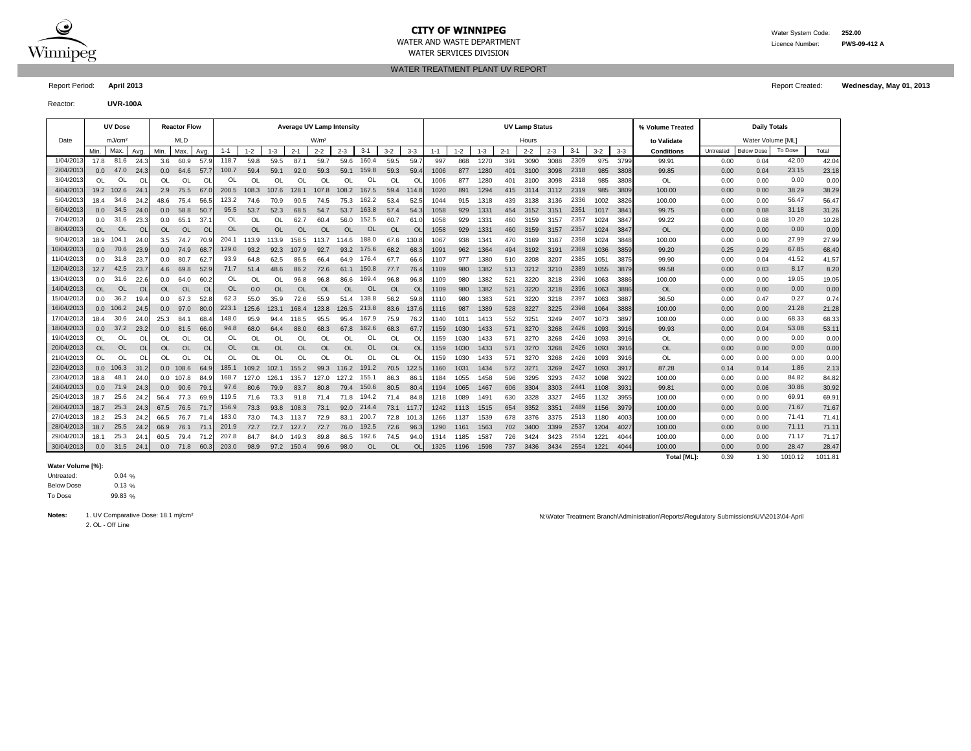

# **CITY OF WINNIPEG** WATER MANUSCRIPED WATER System Code: 252.00

WATER SERVICES DIVISION

WATER TREATMENT PLANT UV REPORT

Report Period: **April 2013** Report Created: **Wednesday, May 01, 2013**

Reactor: **UVR-100A**

|            |               | <b>UV Dose</b>     |               |                  | <b>Reactor Flow</b> |               |           |               |           |           | <b>Average UV Lamp Intensity</b> |           |           |           |           |         |         |         |         | <b>UV Lamp Status</b> |         |         |         |         | % Volume Treated   |           | <b>Daily Totals</b> |         |         |
|------------|---------------|--------------------|---------------|------------------|---------------------|---------------|-----------|---------------|-----------|-----------|----------------------------------|-----------|-----------|-----------|-----------|---------|---------|---------|---------|-----------------------|---------|---------|---------|---------|--------------------|-----------|---------------------|---------|---------|
| Date       |               | mJ/cm <sup>2</sup> |               |                  | <b>MLD</b>          |               |           |               |           |           | W/m <sup>2</sup>                 |           |           |           |           |         |         |         |         | Hours                 |         |         |         |         | to Validate        |           | Water Volume [ML]   |         |         |
|            | Min.          | Max.               | Avg.          | Min.             | Max                 | Avg           | $1 - 1$   | $1 - 2$       | $1 - 3$   | $2 - 1$   | $2 - 2$                          | $2 - 3$   | $3 - 1$   | $3 - 2$   | $3 - 3$   | $1 - 1$ | $1 - 2$ | $1 - 3$ | $2 - 1$ | $2 - 2$               | $2 - 3$ | $3 - 1$ | $3 - 2$ | $3 - 3$ | <b>Conditions</b>  | Untreated | <b>Below Dose</b>   | To Dose | Total   |
| 1/04/2013  | 17.8          | 81.6               | 24.3          | 3.6              | 60.9                | 57.9          | 118.7     | 59.8          | 59.5      | 87.1      | 59.7                             | 59.6      | 160.4     | 59.5      | 59.       | 997     | 868     | 1270    | 391     | 3090                  | 3088    | 2309    | 975     | 3799    | 99.91              | 0.00      | 0.04                | 42.00   | 42.04   |
| 2/04/201   | 0.0           | 47.0               | 24.3          | 0.0 <sub>1</sub> | 64.6                | 57.7          | 100.7     | 59.4          | 59.1      | 92.0      | 59.3                             | 59.1      | 159.8     | 59.3      | 59.       | 1006    | 877     | 1280    | 401     | 3100                  | 3098    | 2318    | 985     | 3808    | 99.85              | 0.00      | 0.04                | 23.15   | 23.18   |
| 3/04/2013  | OL            | OL                 | <sup>OL</sup> | OL               | <b>OL</b>           | <sup>OL</sup> | OL        | <sup>OL</sup> | OL        | OL        | OL                               | OL        | OL        | <b>OL</b> | O         | 1006    | 877     | 1280    | 401     | 3100                  | 3098    | 2318    | 985     | 3808    | <b>OL</b>          | 0.00      | 0.00                | 0.00    | 0.00    |
| 4/04/201   | 19.2          | 102.6              | 24.           | 2.9              | 75.5                | 67.           | 200.5     | 108.3         | 107.6     | 128.1     | 107.8                            | 108.2     | 167.5     | 59.4      | 114.8     | 1020    | 891     | 1294    | 415     | 3114                  | 3112    | 2319    | 985     | 3809    | 100.00             | 0.00      | 0.00                | 38.29   | 38.29   |
| 5/04/201   | 18.4          | 34.6               | 24.2          | 48.6             | 75.4                | 56.           | 123.2     | 74.6          | 70.9      | 90.5      | 74.5                             | 75.3      | 162.2     | 53.4      | 52.       | 1044    | 915     | 1318    | 439     | 3138                  | 3136    | 2336    | 1002    | 3826    | 100.00             | 0.00      | 0.00                | 56.47   | 56.47   |
| 6/04/2013  | 0.0           | 34.5               | 24.0          | 0.0 <sub>1</sub> | 58.8                | 50.           | 95.5      | 53.7          | 52.3      | 68.5      | 54.7                             | 53.7      | 163.8     | 57.4      | 54.       | 1058    | 929     | 1331    | 454     | 3152                  | 3151    | 2351    | 1017    | 3841    | 99.75              | 0.00      | 0.08                | 31.18   | 31.26   |
| 7/04/201   | 0.0           | 31.6               | 23.3          | 0.0              | 65.1                | 37.7          | OL        | $\Omega$      | OL        | 62.7      | 60.4                             | 56.0      | 152.5     | 60.7      | 61.0      | 1058    | 929     | 1331    | 460     | 3159                  | 3157    | 2357    | 1024    | 3847    | 99.22              | 0.00      | 0.08                | 10.20   | 10.28   |
| 8/04/2013  | <b>OL</b>     | OL.                | <sup>OL</sup> | <b>OL</b>        | <b>OL</b>           | <b>OL</b>     | <b>OL</b> | <b>OL</b>     | <b>OL</b> | <b>OL</b> | <b>OL</b>                        | <b>OL</b> | <b>OL</b> | <b>OL</b> | <b>OL</b> | 1058    | 929     | 1331    | 460     | 3159                  | 3157    | 2357    | 1024    | 3847    | <b>OL</b>          | 0.00      | 0.00                | 0.00    | 0.00    |
| 9/04/2013  | 18.9          | 104.1              | 24.0          | 3.5              | 74.7                | 70.9          | 204.1     | 113.9         | 113.9     | 158.5     | 113.7                            | 114.6     | 188.0     | 67.6      | 130.      | 1067    | 938     | 1341    | 470     | 3169                  | 3167    | 2358    | 1024    | 3848    | 100.00             | 0.00      | 0.00                | 27.99   | 27.99   |
| 10/04/201  | 0.0           | 70.6               | 23.9          | 0.0 <sub>1</sub> | 74.9                | 68.           | 129.0     | 93.2          | 92.3      | 107.9     | 92.7                             | 93.2      | 175.6     | 68.2      | 68.       | 1091    | 962     | 1364    | 494     | 3192                  | 3191    | 2369    | 1036    | 3859    | 99.20              | 0.25      | 0.29                | 67.85   | 68.40   |
| 11/04/201  | 0.0           | 31.8               | 23.7          | 0.0              | 80.7                | 62.           | 93.9      | 64.8          | 62.5      | 86.5      | 66.4                             | 64.9      | 176.4     | 67.7      | 66.       | 1107    | 977     | 1380    | 510     | 3208                  | 3207    | 2385    | 1051    | 3875    | 99.90              | 0.00      | 0.04                | 41.52   | 41.57   |
| 12/04/201  | 12.7          | 42.5               | 23.7          | 4.6              | 69.8                | 52.9          | 71.7      | 51.4          | 48.6      | 86.2      | 72.6                             | 61.1      | 150.8     | 77.7      | 76.4      | 1109    | 980     | 1382    | 513     | 3212                  | 3210    | 2389    | 1055    | 3879    | 99.58              | 0.00      | 0.03                | 8.17    | 8.20    |
| 13/04/201  | 0.0           | 31.6               | 22.6          | 0.0              | 64.0                | 60.2          | OL        | <sup>OL</sup> | OL        | 96.8      | 96.8                             | 86.6      | 169.4     | 96.8      | 96.       | 1109    | 980     | 1382    | 521     | 3220                  | 3218    | 2396    | 1063    | 3886    | 100.00             | 0.00      | 0.00                | 19.05   | 19.05   |
| 14/04/201  | OL            | <b>OL</b>          | <b>OL</b>     | OL.              | <b>OL</b>           | <b>OL</b>     | OL        | 0.0           | OL        | <b>OL</b> | <b>OL</b>                        | OL        | <b>OL</b> | <b>OL</b> | <b>OL</b> | 1109    | 980     | 1382    | 521     | 3220                  | 3218    | 2396    | 1063    | 3886    | <b>OL</b>          | 0.00      | 0.00                | 0.00    | 0.00    |
| 15/04/201  | 0.0           | 36.2               | 19.4          | 0.0              | 67.3                | 52.8          | 62.3      | 55.0          | 35.9      | 72.6      | 55.9                             | 51.4      | 138.8     | 56.2      | 59.8      | 1110    | 980     | 1383    | 521     | 3220                  | 3218    | 2397    | 1063    | 3887    | 36.50              | 0.00      | 0.47                | 0.27    | 0.74    |
| 16/04/201  | 0.0           | 106.2              | 24.5          | 0.0 <sub>1</sub> | 97.0                | 80.0          | 223.1     | 125.6         | 123.1     | 168.4     | 123.8                            | 126.5     | 213.8     | 83.6      | 137.6     | 1116    | 987     | 1389    | 528     | 3227                  | 3225    | 2398    | 1064    | 3888    | 100.00             | 0.00      | 0.00                | 21.28   | 21.28   |
| 17/04/201  | 18.4          | 30.6               | 24.0          | 25.3             | 84.1                | 68.           | 148.0     | 95.9          | 94.4      | 118.5     | 95.5                             | 95.4      | 167.9     | 75.9      | 76.2      | 1140    | 1011    | 1413    | 552     | 3251                  | 3249    | 2407    | 1073    | 3897    | 100.00             | 0.00      | 0.00                | 68.33   | 68.33   |
| 18/04/201  | 0.0           | 37.2               | 23.2          | 0.0 <sub>1</sub> | 81.5                | 66.0          | 94.8      | 68.0          | 64.4      | 88.0      | 68.3                             | 67.8      | 162.6     | 68.3      | 67.7      | 1159    | 1030    | 1433    | 571     | 3270                  | 3268    | 2426    | 1093    | 3916    | 99.93              | 0.00      | 0.04                | 53.08   | 53.11   |
| 19/04/201  | <sup>OL</sup> | OL                 | O             | OL.              | OL                  | O             | OL        | OL            | <b>OL</b> | OL        | OL                               | OL        | OL        | OL        | O         | 1159    | 1030    | 1433    | 571     | 3270                  | 3268    | 2426    | 1093    | 3916    | OL                 | 0.00      | 0.00                | 0.00    | 0.00    |
| 20/04/201  | OL            | <b>OL</b>          | <b>OL</b>     | <b>OL</b>        | <b>OL</b>           | <b>OL</b>     | OL        | <b>OL</b>     | OL        | <b>OL</b> | <b>OL</b>                        | OL        | OL        | <b>OL</b> | <b>O</b>  | 1159    | 1030    | 1433    | 571     | 3270                  | 3268    | 2426    | 1093    | 3916    | <b>OL</b>          | 0.00      | 0.00                | 0.00    | 0.00    |
| 21/04/201  | OL            | OL                 | OL            | OL               | OL                  | OL            | OL        | $\Omega$      | OL        | <b>OL</b> | OL                               | OL        | OL        | <b>OL</b> | OL        | 1159    | 1030    | 1433    | 571     | 3270                  | 3268    | 2426    | 1093    | 3916    | OL                 | 0.00      | 0.00                | 0.00    | 0.00    |
| 22/04/2013 | 0.0           | 106.3              | 31.2          |                  | $0.0$ 108.6         | 64.9          | 185.1     | 109.2         | 102.1     | 155.2     | 99.3                             | 116.2     | 191.2     | 70.5      | 122.5     | 1160    | 1031    | 1434    | 572     | 3271                  | 3269    | 2427    | 1093    | 3917    | 87.28              | 0.14      | 0.14                | 1.86    | 2.13    |
| 23/04/2013 | 18.8          | 48.                | 24.0          | 0.0              | 107.8               | 84.9          | 168.7     | 127.0         | 126.1     | 135.7     | 127.0                            | 127.2     | 155.1     | 86.3      | 86.       | 1184    | 1055    | 1458    | 596     | 3295                  | 3293    | 2432    | 1098    | 3922    | 100.00             | 0.00      | 0.00                | 84.82   | 84.82   |
| 24/04/2013 | 0.0           | 71.9               | 24.3          | 0.0 <sub>1</sub> | 90.6                | 79.           | 97.6      | 80.6          | 79.9      | 83.7      | 80.8                             | 79.4      | 150.6     | 80.5      | 80.4      | 1194    | 1065    | 1467    | 606     | 3304                  | 3303    | 2441    | 1108    | 3931    | 99.81              | 0.00      | 0.06                | 30.86   | 30.92   |
| 25/04/2013 | 18.7          | 25.6               | 24.2          | 56.4             | 77.3                | 69.           | 119.5     | 71.6          | 73.3      | 91.8      | 71.4                             | 71.8      | 194.2     | 71.4      | 84.8      | 1218    | 1089    | 1491    | 630     | 3328                  | 3327    | 2465    | 1132    | 3955    | 100.00             | 0.00      | 0.00                | 69.91   | 69.91   |
| 26/04/2013 | 18.7          | 25.3               | 24.3          | 67.5             | 76.5                | 71.7          | 156.9     | 73.3          | 93.8      | 108.3     | 73.1                             | 92.0      | 214.4     | 73.1      | 117.7     | 1242    | 1113    | 1515    | 654     | 3352                  | 3351    | 2489    | 1156    | 3979    | 100.00             | 0.00      | 0.00                | 71.67   | 71.67   |
| 27/04/201  | 18.2          | 25.3               | 24.2          | 66.5             | 76.7                | 71.           | 183.0     | 73.0          | 74.3      | 113.7     | 72.9                             | 83.1      | 200.7     | 72.8      | 101       | 1266    | 1137    | 1539    | 678     | 3376                  | 3375    | 2513    | 1180    | 4003    | 100.00             | 0.00      | 0.00                | 71.41   | 71.41   |
| 28/04/201  | 18.7          | 25.5               | 24.2          | 66.9             | 76.1                | 71.           | 201.9     | 72.7          | 72.7      | 127.7     | 72.7                             | 76.0      | 192.5     | 72.6      | 96.3      | 1290    | 1161    | 1563    | 702     | 3400                  | 3399    | 2537    | 1204    | 4027    | 100.00             | 0.00      | 0.00                | 71.11   | 71.11   |
| 29/04/2013 | 18.1          | 25.3               | 24.           | 60.5             | 79.4                | 71.           | 207.8     | 84.7          | 84.0      | 149.3     | 89.8                             | 86.5      | 192.6     | 74.5      | 94.       | 1314    | 1185    | 1587    | 726     | 3424                  | 3423    | 2554    | 1221    | 4044    | 100.00             | 0.00      | 0.00                | 71.17   | 71.17   |
| 30/04/201  | 0.0           | 31.5               | 24.           | 0.0 <sub>1</sub> | 71.8                | 60.           | 203.0     | 98.9          | 97.2      | 150.4     | 99.6                             | 98.0      | OL        | <b>OL</b> | <b>OL</b> | 1325    | 1196    | 1598    | 737     | 3436                  | 3434    | 2554    | 1221    | 4044    | 100.00             | 0.00      | 0.00                | 28.47   | 28.47   |
|            |               |                    |               |                  |                     |               |           |               |           |           |                                  |           |           |           |           |         |         |         |         |                       |         |         |         |         | <b>Total [ML]:</b> | 0.39      | 1.30                | 1010.12 | 1011.81 |

#### **Water Volume [%]:**

0.04 % 0.13 % 99.83 % To Dose Below Dose Untreated:

2. OL - Off Line

Notes: 1. UV Comparative Dose: 18.1 mj/cm<sup>2</sup> Nicolar April 2013/04-April 2013/04-April 2013/04-April 2013/04-April 2013/04-April 2013/04-April 2013/04-April 2013/04-April 2013/04-April 2013/04-April 2013/04-April 2013/04-A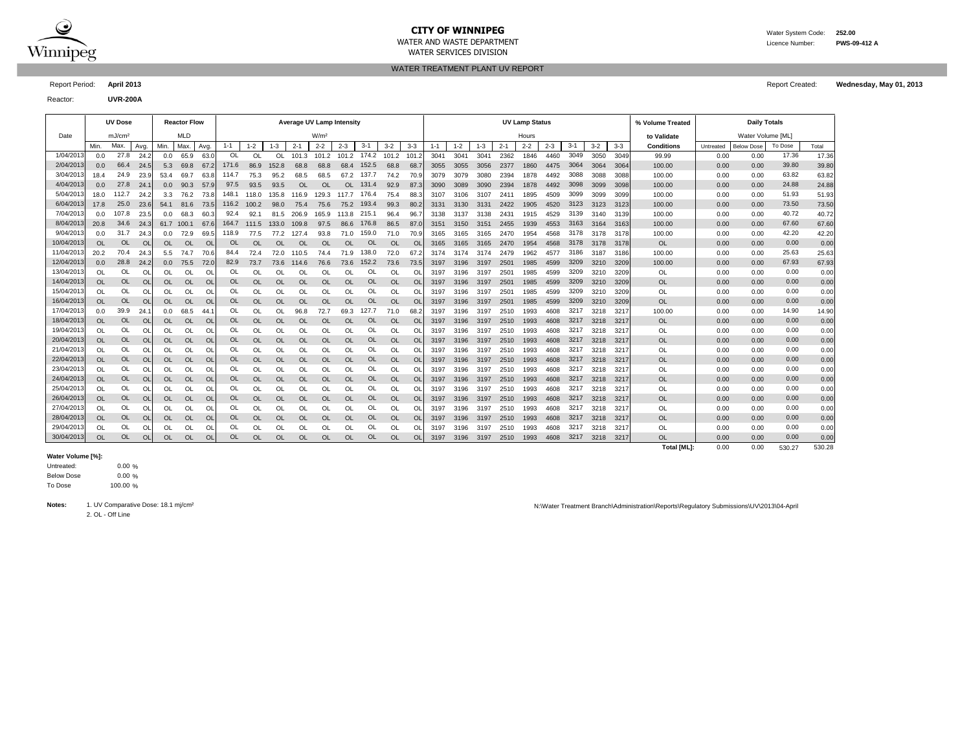

## **CITY OF WINNIPEG** WATER System Code: 252.00

WATER SERVICES DIVISION

WATER AND WASTE DEPARTMENT Licence Number: **PWS-09-412 A**

WATER TREATMENT PLANT UV REPORT

Reactor: **UVR-200A**

| Report Period: April 2013 | <b>Report Created:</b> | Wednesday, May 01, 2013 |
|---------------------------|------------------------|-------------------------|
|                           |                        |                         |

|            |           | <b>UV Dose</b>     |           |           | <b>Reactor Flow</b> |           |           |           |           | Average UV Lamp Intensity |                  |               |             |             |                |         |         |         |           | <b>UV Lamp Status</b> |         |       |           |         | % Volume Treated  |           | <b>Daily Totals</b> |         |       |
|------------|-----------|--------------------|-----------|-----------|---------------------|-----------|-----------|-----------|-----------|---------------------------|------------------|---------------|-------------|-------------|----------------|---------|---------|---------|-----------|-----------------------|---------|-------|-----------|---------|-------------------|-----------|---------------------|---------|-------|
| Date       |           | mJ/cm <sup>2</sup> |           |           | <b>MLD</b>          |           |           |           |           |                           | W/m <sup>2</sup> |               |             |             |                |         |         |         |           | Hours                 |         |       |           |         | to Validate       |           | Water Volume [ML]   |         |       |
|            | Min.      | Max.               | Avg.      | Min.      | Max.                | Avg.      | $1 - 1$   | $1 - 2$   | $1 - 3$   | $2 - 1$                   | $2 - 2$          | $2 - 3$       | $3 - 1$     | $3 - 2$     | $3 - 3$        | $1 - 1$ | $1 - 2$ | $1 - 3$ | $2 - 1$   | $2 - 2$               | $2 - 3$ | $3-1$ | $3 - 2$   | $3 - 3$ | <b>Conditions</b> | Untreated | <b>Below Dose</b>   | To Dose | Total |
| 1/04/2013  | 0.0       | 27.8               | 24.2      | 0.0       | 65.9                | 63.0      | OL        | $\Omega$  | 0L        | 101.3                     | 101.2            |               | 101.2 174.2 | 101.2 101.2 |                | 3041    | 3041    | 3041    | 2362      | 1846                  | 4460    | 3049  | 3050      | 3049    | 99.99             | 0.00      | 0.00                | 17.36   | 17.36 |
| 2/04/201   | 0.0       | 66.4               | 24.5      |           | 5.3 69.8            | 67.2      | 171.6     | 86.9      | 152.8     | 68.8                      | 68.8             | 68.4          | 152.5       | 68.8        | 68.7           | 3055    | 3055    | 3056    | 2377      | 1860                  | 4475    | 3064  | 3064      | 3064    | 100.00            | 0.00      | 0.00                | 39.80   | 39.80 |
| 3/04/2013  | 18.4      | 24.9               | 23.9      | 53.4      | 69.7                | 63.8      | 114.7     | 75.3      | 95.2      | 68.5                      | 68.5             |               | 67.2 137.7  | 74.2        | 70.            | 3079    | 3079    | 3080    | 2394      | 1878                  | 4492    | 3088  | 3088      | 3088    | 100.00            | 0.00      | 0.00                | 63.82   | 63.82 |
| 4/04/201   | 0.0       | 27.8               | 24.1      | 0.0       | 90.3                | 57.9      | 97.5      | 93.5      | 93.5      | <b>OL</b>                 | OL               | <b>OL</b>     | 131.4       | 92.9        | 87.3           | 3090    | 3089    | 3090    | 2394      | 1878                  | 4492    | 3098  | 3099      | 3098    | 100.00            | 0.00      | 0.00                | 24.88   | 24.88 |
| 5/04/2013  | 18.0      | 112.7              | 24.2      | 3.3       | 76.2                | 73.8      | 148.1     | 118.0     | 135.8     | 116.9                     | 129.3            | 117.7         | 176.4       | 75.4        | 88.            | 3107    | 3106    | 3107    | 2411      | 1895                  | 4509    | 3099  | 3099      | 3099    | 100.00            | 0.00      | 0.00                | 51.93   | 51.93 |
| 6/04/2013  | 17.8      | 25.0               | 23.6      |           | 54.1 81.6           | 73.5      | 116.2     | 100.2     | 98.0      | 75.4                      | 75.6             |               | 75.2 193.4  | 99.3        | 80.2           | 3131    | 3130    | 3131    | 2422      | 1905                  | 4520    | 3123  | 3123      | 3123    | 100.00            | 0.00      | 0.00                | 73.50   | 73.50 |
| 7/04/2013  | 0.0       | 107.8              | 23.5      | 0.0       | 68.3                | 60.3      | 92.4      | 92.1      | 81.5      | 206.9                     | 165.9            | 113.8         | 215.1       | 96.4        | 96.            | 3138    | 3137    | 3138    | 2431      | 1915                  | 4529    | 3139  | 3140      | 3139    | 100.00            | 0.00      | 0.00                | 40.72   | 40.72 |
| 8/04/201   | 20.8      | 34.6               | 24.3      |           | 61.7 100.1          | 67.6      | 164.7     | 111.5     | 133.0     | 109.8                     | 97.5             | 86.6          | 176.8       | 86.5        | 87.            | 3151    | 3150    | 3151    | 2455      | 1939                  | 4553    | 3163  | 3164 3163 |         | 100.00            | 0.00      | 0.00                | 67.60   | 67.60 |
| 9/04/201   | 0.0       | 31.7               | 24.3      | 0.0       | 72.9                | 69.5      | 118.9     | 77.5      | 77.2      | 127.4                     | 93.8             | 71.0          | 159.0       | 71.0        | 70.            | 3165    | 3165    | 3165    | 2470      | 1954                  | 4568    | 3178  | 3178      | 3178    | 100.00            | 0.00      | 0.00                | 42.20   | 42.20 |
| 10/04/201  | <b>OL</b> | <b>OL</b>          | <b>OL</b> | <b>OL</b> | <b>OL</b>           | <b>OL</b> | OL        | <b>OL</b> | <b>OL</b> | <b>OL</b>                 | <b>OL</b>        | <b>OL</b>     | <b>OL</b>   | <b>OL</b>   | $\overline{O}$ | 3165    | 3165    | 3165    | 2470      | 1954                  | 4568    |       | 3178 3178 | 3178    | OL.               | 0.00      | 0.00                | 0.00    | 0.00  |
| 11/04/201  | 20.2      | 70.4               | 24.3      | 5.5       | 74.7                | 70.6      | 84.4      | 72.4      | 72.0      | 110.5                     | 74.4             | 71.9          | 138.0       | 72.0        | 67.2           | 3174    | 3174    | 3174    | 2479      | 1962                  | 4577    | 3186  | 3187      | 3186    | 100.00            | 0.00      | 0.00                | 25.63   | 25.63 |
| 12/04/2013 | 0.0       | 28.8               | 24.2      | 0.0       | 75.5                | 72.0      | 82.9      | 73.7      | 73.6      | 114.6                     | 76.6             | 73.6          | 152.2       | 73.6        | 73.5           | 3197    | 3196    | 3197    | 2501      | 1985                  | 4599    | 3209  | 3210      | 3209    | 100.00            | 0.00      | 0.00                | 67.93   | 67.93 |
| 13/04/201  | OL        | OL                 | <b>OL</b> | OL        | OL                  | <b>OL</b> | OL        | OL        | OL        | OL                        | OL               | OL            | OL          | <b>OL</b>   | <sup>OL</sup>  | 3197    | 3196    | 3197    | 2501      | 1985                  | 4599    | 3209  | 3210      | 3209    | OL                | 0.00      | 0.00                | 0.00    | 0.00  |
| 14/04/201  | <b>OL</b> | <b>OL</b>          | $\Omega$  | <b>OL</b> | <b>OL</b>           | <b>OL</b> | OL        | <b>OL</b> | <b>OL</b> | <b>OL</b>                 | OL               | OL            | <b>OL</b>   | <b>OL</b>   | <b>OL</b>      | 3197    | 3196    | 3197    | 2501      | 1985                  | 4599    | 3209  | 3210      | 3209    | OL                | 0.00      | 0.00                | 0.00    | 0.00  |
| 15/04/201  | <b>OL</b> | OL                 | <b>OL</b> | OL        | OL                  | <b>OL</b> | OL        | <b>OL</b> | OL        | OL                        | OL               | OL            | OL          | <b>OL</b>   | OL             | 3197    | 3196    | 3197    | 2501      | 1985                  | 4599    | 3209  | 3210      | 3209    | OL                | 0.00      | 0.00                | 0.00    | 0.00  |
| 16/04/201  | <b>OL</b> | <b>OL</b>          | $\Omega$  | <b>OL</b> | <b>OL</b>           | <b>OL</b> | OL        | <b>OL</b> | OL        | <b>OL</b>                 | <b>OL</b>        | OL            | <b>OL</b>   | <b>OL</b>   | $\Omega$       | 3197    | 3196    | 3197    | 2501      | 1985                  | 4599    | 3209  | 3210      | 3209    | OL                | 0.00      | 0.00                | 0.00    | 0.00  |
| 17/04/201  | 0.0       | 39.9               | 24.       | 0.0       | 68.5                | 44.7      | OL        | OL        | OL        | 96.8                      | 72.7             | 69.3          | 127.7       | 71.0        | 68.            | 3197    | 3196    | 3197    | 2510      | 1993                  | 4608    | 3217  | 3218      | 3217    | 100.00            | 0.00      | 0.00                | 14.90   | 14.90 |
| 18/04/2013 | OL        | <b>OL</b>          | <b>OL</b> | <b>OL</b> | OL                  | <b>OL</b> | <b>OL</b> | <b>OL</b> | <b>OL</b> | <b>OL</b>                 | <b>OL</b>        | <b>OL</b>     | <b>OL</b>   | <b>OL</b>   | <b>OL</b>      | 3197    | 3196    | 3197    | 2510      | 1993                  | 4608    | 3217  | 3218      | 3217    | OL                | 0.00      | 0.00                | 0.00    | 0.00  |
| 19/04/201  | OL        | OL                 | <b>OL</b> | OL        | OL                  | <b>OL</b> | OL        | OL        | OL        | OL                        | OL               | OL            | OL          | OL          | OL             | 3197    | 3196    | 3197    | 2510      | 1993                  | 4608    | 3217  | 3218      | 3217    | OL                | 0.00      | 0.00                | 0.00    | 0.00  |
| 20/04/2013 | <b>OL</b> | <b>OL</b>          | <b>OL</b> | <b>OL</b> | <b>OL</b>           | <b>OL</b> | <b>OL</b> | <b>OL</b> | <b>OL</b> | <b>OL</b>                 | <b>OL</b>        | <b>OL</b>     | OL.         | <b>OL</b>   | <b>OL</b>      | 3197    | 3196    | 3197    | 2510      | 1993                  | 4608    | 3217  | 3218      | 3217    | OL                | 0.00      | 0.00                | 0.00    | 0.00  |
| 21/04/201  | OL        | OL                 | $\Omega$  | OL        | <sup>OL</sup>       | <b>OL</b> | OL        | $\Omega$  | $\Omega$  | $\Omega$                  | $\Omega$         | <sup>OL</sup> | OL          | OL          | <sup>OL</sup>  | 3197    | 3196    | 3197    | 2510      | 1993                  | 4608    | 3217  | 3218      | 3217    | <b>OL</b>         | 0.00      | 0.00                | 0.00    | 0.00  |
| 22/04/201  | OL        | <b>OL</b>          | $\Omega$  | <b>OL</b> | <b>OL</b>           | <b>OL</b> | OL        | <b>OL</b> | <b>OL</b> | <b>OL</b>                 | OL               | OL            | <b>OL</b>   | <b>OL</b>   | <b>OL</b>      | 3197    | 3196    | 3197    | 2510      | 1993                  | 4608    | 3217  | 3218      | 3217    | OL                | 0.00      | 0.00                | 0.00    | 0.00  |
| 23/04/201  | OL        | OL                 | $\Omega$  | OL.       | <b>OL</b>           | <b>OL</b> | OL        | $\Omega$  | $\Omega$  | $\Omega$                  | $\Omega$         | <b>OL</b>     | OL          | OL          | <sup>OL</sup>  | 3197    | 3196    | 3197    | 2510      | 1993                  | 4608    | 3217  | 3218      | 3217    | OL                | 0.00      | 0.00                | 0.00    | 0.00  |
| 24/04/201  | <b>OL</b> | <b>OL</b>          | $\Omega$  | <b>OL</b> | <b>OL</b>           | OL        | <b>OL</b> | <b>OL</b> | OL        | <b>OL</b>                 | OL               | OL            | <b>OL</b>   | OL          | $\Omega$       | 3197    | 3196    | 3197    | 2510      | 1993                  | 4608    | 3217  | 3218      | 3217    | OL                | 0.00      | 0.00                | 0.00    | 0.00  |
| 25/04/201  | OL        | <b>OL</b>          | $\Omega$  | OL        | OL                  | <b>OL</b> | OL        | OL        | OL        | OL                        | <sup>OL</sup>    | <sup>OL</sup> | OL          | OL          | <sup>o</sup>   | 3197    | 3196    | 3197    | 2510      | 1993                  | 4608    | 3217  | 3218      | 3217    | OL                | 0.00      | 0.00                | 0.00    | 0.00  |
| 26/04/2013 | OL        | OL                 | <b>OL</b> | <b>OL</b> | <b>OL</b>           | <b>OL</b> | <b>OL</b> | <b>OL</b> | <b>OL</b> | <b>OL</b>                 | <b>OL</b>        | <b>OL</b>     | <b>OL</b>   | <b>OL</b>   | <sup>OL</sup>  | 3197    | 3196    | 3197    | 2510      | 1993                  | 4608    | 3217  | 3218      | 3217    | OL                | 0.00      | 0.00                | 0.00    | 0.00  |
| 27/04/201  | OL        | OL                 | <b>OL</b> | OL        | OL                  | OL        | OL        | OL        | OL        | OL                        | OL               | <b>OL</b>     | OL          | OL          | <sup>OL</sup>  | 3197    | 3196    | 3197    | 2510      | 1993                  | 4608    | 3217  | 3218      | 3217    | OL                | 0.00      | 0.00                | 0.00    | 0.00  |
| 28/04/201  | <b>OL</b> | <b>OL</b>          | <b>OL</b> | <b>OL</b> | <b>OL</b>           | <b>OL</b> | OL        | <b>OL</b> | <b>OL</b> | <b>OL</b>                 | <b>OL</b>        | <b>OL</b>     | <b>OL</b>   | <b>OL</b>   | <b>OL</b>      | 3197    | 3196    | 3197    | 2510      | 1993                  | 4608    | 3217  | 3218      | 3217    | OL                | 0.00      | 0.00                | 0.00    | 0.00  |
| 29/04/201  | OL        | OL                 | <b>OL</b> | OL        | OL                  | OL        | OL        | OL        | OL        | OL                        | OL               | OL            | OL          | OL          | <sup>OL</sup>  | 3197    | 3196    | 3197    | 2510      | 1993                  | 4608    | 3217  | 3218      | 3217    | OL                | 0.00      | 0.00                | 0.00    | 0.00  |
| 30/04/2013 | <b>OL</b> | <b>OL</b>          | $\Omega$  | <b>OL</b> | <b>OL</b>           | <b>OL</b> | <b>OL</b> | <b>OL</b> | OL        | <b>OL</b>                 | <b>OL</b>        | OL            | <b>OL</b>   | <b>OL</b>   | <b>OL</b>      | 3197    | 3196    | 3197    | 2510 1993 |                       | 4608    | 3217  | 3218      | 3217    | <b>OL</b>         | 0.00      | 0.00                | 0.00    | 0.00  |

### **Water Volume [%]:**

 $0.00 \%$ 0.00 % 100.00 % To Dose Below Dose Untreated:

2. OL - Off Line

Notes: 1. UV Comparative Dose: 18.1 mj/cm<sup>2</sup> N:\Water Treatment Branch\Administration\Reports\Regulatory Submissions\UV\2013\04-April

**Total [ML]:** 0.00 0.00 530.27 530.28

530.27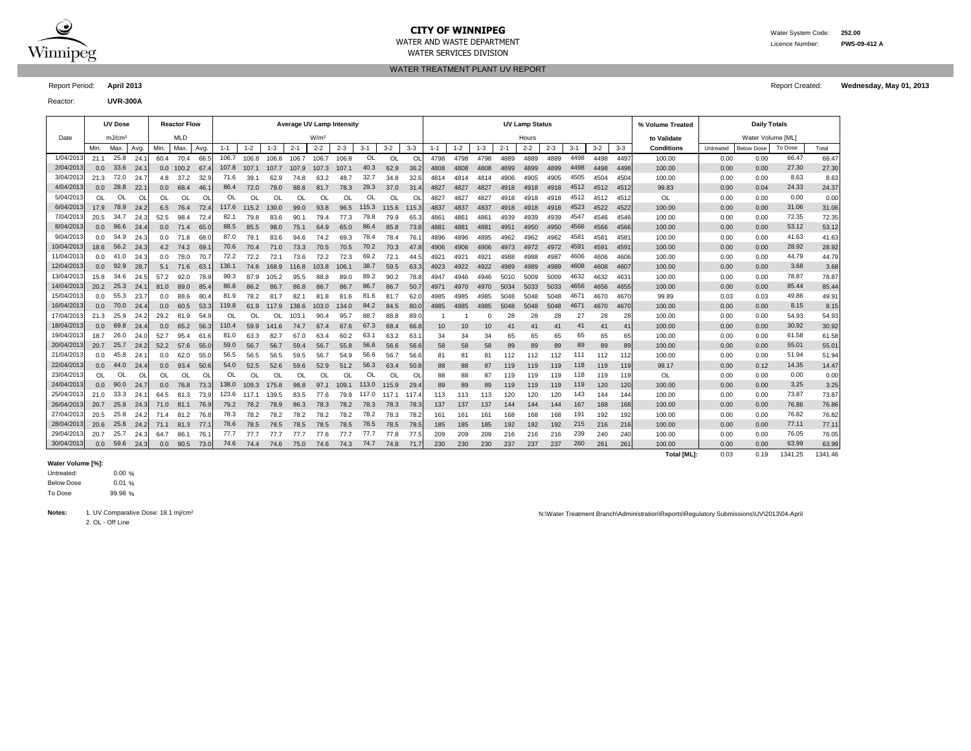

# **CITY OF WINNIPEG** WATER MANUSCRIPT WATER System Code: 252.00

WATER SERVICES DIVISION

WATER TREATMENT PLANT UV REPORT

Report Period: **April 2013** Report Created: **Wednesday, May 01, 2013**

Reactor: **UVR-300A**

|            |                  | <b>UV Dose</b>     |           |      | <b>Reactor Flow</b> |      |         |           |           |           | Average UV Lamp Intensity |         |       |         |         |         |         |          |         | <b>UV Lamp Status</b> |         |         |       |       | % Volume Treated   |           | <b>Daily Totals</b> |         |         |
|------------|------------------|--------------------|-----------|------|---------------------|------|---------|-----------|-----------|-----------|---------------------------|---------|-------|---------|---------|---------|---------|----------|---------|-----------------------|---------|---------|-------|-------|--------------------|-----------|---------------------|---------|---------|
| Date       |                  | mJ/cm <sup>2</sup> |           |      | <b>MLD</b>          |      |         |           |           |           | W/m <sup>2</sup>          |         |       |         |         |         |         |          |         | Hours                 |         |         |       |       | to Validate        |           | Water Volume [ML]   |         |         |
|            | Min.             | Max.               | Avg.      | Min. | Max.                | Avg. | $1 - 1$ | $1 - 2$   | $1 - 3$   | $2 - 1$   | $2 - 2$                   | $2 - 3$ | $3-1$ | $3 - 2$ | $3 - 3$ | $1 - 1$ | $1 - 2$ | $1 - 3$  | $2 - 1$ | $2 - 2$               | $2 - 3$ | $3 - 1$ | $3-2$ | $3-3$ | <b>Conditions</b>  | Untreated | <b>Below Dose</b>   | To Dose | Total   |
| 1/04/2013  | 21.1             | 25.8               | 24.1      | 60.4 | 70.4                | 66.5 | 106.7   | 106.8     | 106.8     | 106.7     | 106.7                     | 106.8   | OL    | OL      | OL      | 4798    | 4798    | 4798     | 4889    | 4889                  | 4889    | 4498    | 4498  | 4497  | 100.00             | 0.00      | 0.00                | 66.47   | 66.47   |
| 2/04/2013  | 0.0              | 33.6               | 24.7      | 0.0  | 100.2               | 67.4 | 107.8   | 107.1     | 107.7     | 107.9     | 107.3                     | 107.1   | 40.3  | 62.9    | 36.2    | 4808    | 4808    | 4808     | 4899    | 4899                  | 4899    | 4498    | 4498  | 4498  | 100.00             | 0.00      | 0.00                | 27.30   | 27.30   |
| 3/04/2013  | 21.3             | 72.0               | 24.7      | 4.8  | 37.2                | 32.9 | 71.6    | 39.1      | 62.9      | 74.8      | 63.2                      | 48.7    | 32.7  | 34.8    | 32.6    | 4814    | 4814    | 4814     | 4906    | 4905                  | 4905    | 4505    | 4504  | 4504  | 100.00             | 0.00      | 0.00                | 8.63    | 8.63    |
| 4/04/201   | 0.0              | 28.8               | 22.       | 0.0  | 68.4                | 46.  | 86.4    | 72.0      | 79.0      | 88.6      | 81.7                      | 78.3    | 29.3  | 37.0    | 31.4    | 4827    | 4827    | 4827     | 4918    | 4918                  | 4918    | 4512    | 4512  | 4512  | 99.83              | 0.00      | 0.04                | 24.33   | 24.37   |
| 5/04/201   | OL               | <b>OL</b>          | <b>OL</b> | OL   | OL                  | O    |         | ΩI        | <b>OL</b> | <b>OL</b> | OL                        | OL      | OL    | OL      | O       | 4827    | 4827    | 4827     | 4918    | 4918                  | 4918    | 4512    | 4512  | 4512  | OL                 | 0.00      | 0.00                | 0.00    | 0.00    |
| 6/04/2013  | 17.9             | 78.9               | 24.2      | 6.5  | 76.4                | 72.4 | 117.6   | 115.2     | 130.0     | 99.0      | 93.8                      | 96.5    | 115.3 | 115.6   | 115.3   | 4837    | 4837    | 4837     | 4918    | 4918                  | 4918    | 4523    | 4522  | 4522  | 100.00             | 0.00      | 0.00                | 31.06   | 31.06   |
| 7/04/201   | 20.5             | 34.7               | 24.3      | 52.5 | 98.4                | 72.4 | 82.1    | 79.8      | 83.6      | 90.7      | 79.4                      | 77.3    | 79.8  | 79.9    | 65.     | 4861    | 4861    | 4861     | 4939    | 4939                  | 4939    | 4547    | 4546  | 4546  | 100.00             | 0.00      | 0.00                | 72.35   | 72.35   |
| 8/04/2013  | 0.0              | 96.6               | 24.4      | 0.0  | 71.4                | 65.0 | 88.5    | 85.5      | 98.0      | 75.1      | 64.9                      | 65.0    | 86.4  | 85.8    | 73.8    | 4881    | 4881    | 4881     | 4951    | 4950                  | 4950    | 4566    | 4566  | 4566  | 100.00             | 0.00      | 0.00                | 53.12   | 53.12   |
| 9/04/2013  | 0.0              | 34.9               | 24.3      | 0.0  | 71.8                | 68.0 | 87.0    | 78.1      | 83.6      | 94.6      | 74.2                      | 69.3    | 78.4  | 78.4    | 76.7    | 4896    | 4896    | 4895     | 4962    | 4962                  | 4962    | 4581    | 4581  | 4581  | 100.00             | 0.00      | 0.00                | 41.63   | 41.63   |
| 10/04/2013 | 18.6             | 56.2               | 24.3      | 4.2  | 74.2                | 69.  | 70.6    | 70.4      | 71.0      | 73.3      | 70.5                      | 70.5    | 70.2  | 70.3    | 47.8    | 4906    | 4906    | 4906     | 4973    | 4972                  | 4972    | 4591    | 4591  | 4591  | 100.00             | 0.00      | 0.00                | 28.92   | 28.92   |
| 11/04/201  | 0.0              | 41.0               | 24.3      | 0.0  | 78.0                | 70.7 | 72.2    | 72.2      | 72.7      | 73.6      | 72.2                      | 72.3    | 69.2  | 72.1    | 44.     | 4921    | 4921    | 4921     | 4988    | 4988                  | 4987    | 4606    | 4606  | 4606  | 100.00             | 0.00      | 0.00                | 44.79   | 44.79   |
| 12/04/201  | 0.0              | 92.9               | 28.7      | 5.1  | 71.6                | 63.  | 136.1   | 74.6      | 168.9     | 116.8     | 103.8                     | 106.1   | 38.7  | 59.5    | 63.     | 4923    | 4922    | 4922     | 4989    | 4989                  | 4989    | 4608    | 4608  | 4607  | 100.00             | 0.00      | 0.00                | 3.68    | 3.68    |
| 13/04/201  | 15.8             | 34.6               | 24.5      | 57.2 | 92.0                | 78.9 | 99.3    | 87.9      | 105.2     | 95.5      | 88.8                      | 89.0    | 89.2  | 90.2    | 78.8    | 4947    | 4946    | 4946     | 5010    | 5009                  | 5009    | 4632    | 4632  | 4631  | 100.00             | 0.00      | 0.00                | 78.87   | 78.87   |
| 14/04/2013 | 20.2             | 25.3               | 24.7      | 81.0 | 89.0                | 85.4 | 86.8    | 86.2      | 86.7      | 86.8      | 86.7                      | 86.7    | 86.7  | 86.7    | 50.     | 4971    | 4970    | 4970     | 5034    | 5033                  | 5033    | 4656    | 4656  | 4655  | 100.00             | 0.00      | 0.00                | 85.44   | 85.44   |
| 15/04/2013 | 0.0              | 55.3               | 23.7      | 0.0  | 88.6                | 80.4 | 81.9    | 78.2      | 81.7      | 82.1      | 81.8                      | 81.6    | 81.6  | 81.7    | 62.0    | 4985    | 4985    | 4985     | 5048    | 5048                  | 5048    | 4671    | 4670  | 4670  | 99.89              | 0.03      | 0.03                | 49.86   | 49.91   |
| 16/04/2013 | 0.0              | 70.0               | 24.4      | 0.0  | 60.5                | 53.3 | 119.8   | 61.9      | 117.9     | 138.6     | 103.0                     | 134.0   | 84.2  | 84.5    | 80.0    | 4985    | 4985    | 4985     | 5048    | 5048                  | 5048    | 4671    | 4670  | 4670  | 100.00             | 0.00      | 0.00                | 8.15    | 8.15    |
| 17/04/2013 | 21.3             | 25.9               | 24.2      | 29.2 | 81.9                | 54.9 | OL      | <b>OL</b> | OL.       | 103.7     | 90.4                      | 95.7    | 88.7  | 88.8    | 89.0    |         |         | $\Omega$ | 28      | 28                    | 28      | 27      | 28    | 28    | 100.00             | 0.00      | 0.00                | 54.93   | 54.93   |
| 18/04/201  | 0.0              | 69.8               | 24.4      | 0.0  | 65.2                | 56.3 | 110.4   | 59.9      | 141.6     | 74.7      | 67.4                      | 67.6    | 67.3  | 68.4    | 66.8    | 10      | 10      | 10       | 41      | 41                    | 41      | 41      | 41    | 41    | 100.00             | 0.00      | 0.00                | 30.92   | 30.92   |
| 19/04/201  | 18.7             | 26.0               | 24.0      | 52.7 | 95.4                | 61.6 | 81.0    | 63.3      | 82.7      | 67.0      | 63.4                      | 60.2    | 63.1  | 63.2    | 63.     | 34      | 34      | 34       | 65      | 65                    | 65      | 65      | 65    | 65    | 100.00             | 0.00      | 0.00                | 61.58   | 61.58   |
| 20/04/201: | 20.7             | 25.7               | 24.2      | 52.2 | 57.6                | 55.0 | 59.0    | 56.7      | 56.7      | 59.4      | 56.7                      | 55.8    | 56.6  | 56.6    | 56.6    | 58      | 58      | 58       | 89      | 89                    | 89      | 89      | 89    | 89    | 100.00             | 0.00      | 0.00                | 55.01   | 55.01   |
| 21/04/2013 | 0.0              | 45.8               | 24.7      | 0.0  | 62.0                | 55.0 | 56.5    | 56.5      | 56.5      | 59.5      | 56.7                      | 54.9    | 56.6  | 56.7    | 56.6    | 81      | 81      | 81       | 112     | 112                   | 112     | 111     | 112   | 112   | 100.00             | 0.00      | 0.00                | 51.94   | 51.94   |
| 22/04/201: | 0.0 <sub>1</sub> | 44.0               | 24.4      | 0.0  | 93.4                | 50.6 | 54.0    | 52.5      | 52.6      | 59.6      | 52.9                      | 51.2    | 56.3  | 63.4    | 50.8    | 88      | 88      | 87       | 119     | 119                   | 119     | 118     | 119   | 119   | 99.17              | 0.00      | 0.12                | 14.35   | 14.47   |
| 23/04/2013 | OL               | OL                 | <b>OL</b> | OL   | OL                  | O    | OL      | ΩI        | OL        | <b>OL</b> | OL                        | OL      | OL    | OL      | O       | 88      | 88      | 87       | 119     | 119                   | 119     | 118     | 119   | 119   | OL                 | 0.00      | 0.00                | 0.00    | 0.00    |
| 24/04/2013 | 0.0              | 90.0               | 24.7      | 0.0  | 76.8                | 73.3 | 138.0   | 109.3     | 175.8     | 98.8      | 97.1                      | 109.1   | 113.0 | 115.9   | 29.     | 89      | 89      | 89       | 119     | 119                   | 119     | 119     | 120   | 120   | 100.00             | 0.00      | 0.00                | 3.25    | 3.25    |
| 25/04/201: | 21.0             | 33.3               | 24.7      | 64.5 | 81.3                | 73.9 | 123.6   | 117.1     | 139.5     | 83.5      | 77.6                      | 79.9    | 117.0 | 117.1   | 117.4   | 113     | 113     | 113      | 120     | 120                   | 120     | 143     | 144   | 144   | 100.00             | 0.00      | 0.00                | 73.87   | 73.87   |
| 26/04/201: | 20.7             | 25.8               | 24.3      | 71.0 | 81.1                | 76.9 | 79.2    | 78.2      | 78.9      | 86.3      | 78.3                      | 78.2    | 78.3  | 78.3    | 78.3    | 137     | 137     | 137      | 144     | 144                   | 144     | 167     | 168   | 168   | 100.00             | 0.00      | 0.00                | 76.86   | 76.86   |
| 27/04/201  | 20.5             | 25.8               | 24.2      | 71.4 | 81.2                | 76.8 | 78.3    | 78.2      | 78.2      | 78.2      | 78.2                      | 78.2    | 78.2  | 78.3    | 78.     | 161     | 161     | 161      | 168     | 168                   | 168     | 191     | 192   | 192   | 100.00             | 0.00      | 0.00                | 76.82   | 76.82   |
| 28/04/201: | 20.6             | 25.8               | 24.2      | 71.1 | 81.3                | 77.1 | 78.6    | 78.5      | 78.5      | 78.5      | 78.5                      | 78.5    | 78.5  | 78.5    | 78.5    | 185     | 185     | 185      | 192     | 192                   | 192     | 215     | 216   | 216   | 100.00             | 0.00      | 0.00                | 77.11   | 77.11   |
| 29/04/2013 | 20.7             | 25.7               | 24.3      | 64.7 | 86.1                | 76.  | 77.7    | 77.7      | 77.7      | 77.7      | 77.6                      | 77.7    | 77.7  | 77.8    | 77.5    | 209     | 209     | 209      | 216     | 216                   | 216     | 239     | 240   | 240   | 100.00             | 0.00      | 0.00                | 76.05   | 76.05   |
| 30/04/201  | 0.0              | 59.6               | 24.3      | 0.0  | 90.5                | 73.0 | 74.6    | 74.4      | 74.6      | 75.0      | 74.6                      | 74.3    | 74.7  | 74.8    | 71.7    | 230     | 230     | 230      | 237     | 237                   | 237     | 260     | 261   | 261   | 100.00             | 0.00      | 0.00                | 63.99   | 63.99   |
|            |                  |                    |           |      |                     |      |         |           |           |           |                           |         |       |         |         |         |         |          |         |                       |         |         |       |       | <b>Total [ML]:</b> | 0.03      | 0.19                | 1341.25 | 1341.46 |

#### **Water Volume [%]:**

 $0.00 \%$ 0.01 % 99.98 % To Dose Below Dose Untreated:

2. OL - Off Line

Notes: 1. UV Comparative Dose: 18.1 mj/cm<sup>2</sup> N:\Water Treatment Branch\Administration\Reports\Regulatory Submissions\UV\2013\04-April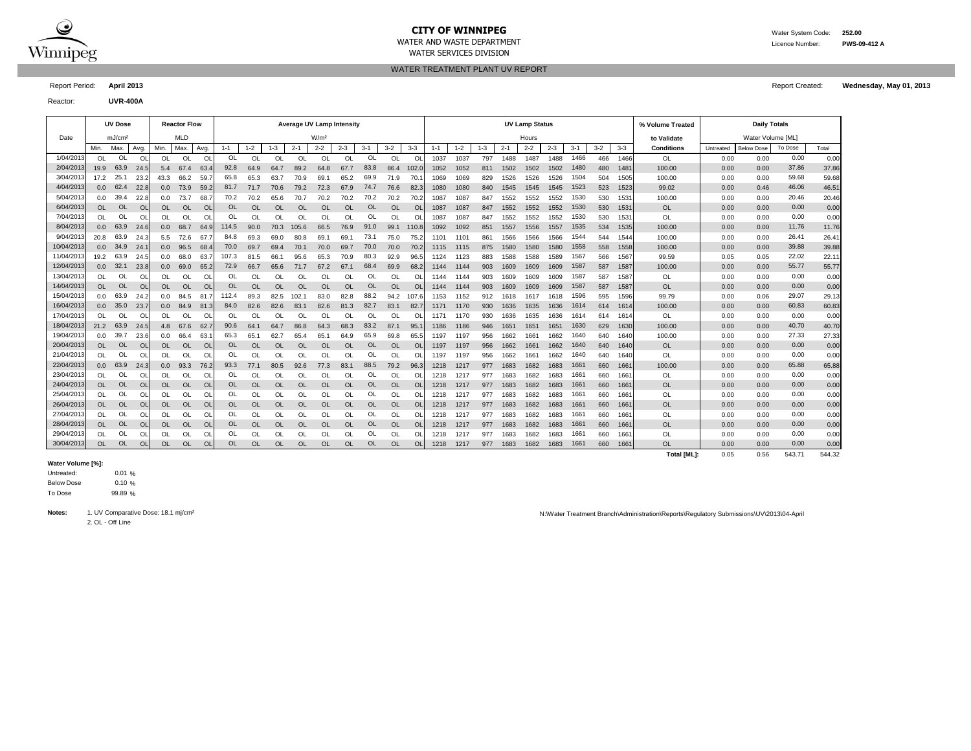

## **CITY OF WINNIPEG** WATER MANUSCRIPED WATER System Code: 252.00

WATER SERVICES DIVISION

WATER TREATMENT PLANT UV REPORT

Reactor: **UVR-400A**

|            |               | <b>UV Dose</b>     |           |           | <b>Reactor Flow</b> |                |           |           |          |              | <b>Average UV Lamp Intensity</b> |           |           |           |           |         |           |         |         | <b>UV Lamp Status</b> |         |         |         |         | % Volume Treated  |           | <b>Daily Totals</b> |         |       |
|------------|---------------|--------------------|-----------|-----------|---------------------|----------------|-----------|-----------|----------|--------------|----------------------------------|-----------|-----------|-----------|-----------|---------|-----------|---------|---------|-----------------------|---------|---------|---------|---------|-------------------|-----------|---------------------|---------|-------|
| Date       |               | mJ/cm <sup>2</sup> |           |           | <b>MLD</b>          |                |           |           |          |              | W/m <sup>2</sup>                 |           |           |           |           |         |           |         |         | Hours                 |         |         |         |         | to Validate       |           | Water Volume [ML]   |         |       |
|            | Min.          | Max.               | Avg.      | Min.      | Max                 | Avg.           | $1 - 1$   | $-2$      | $1 - 3$  | $2 - 1$      | $2 - 2$                          | $2 - 3$   | $3 - 1$   | $3 - 2$   | $3 - 3$   | $1 - 1$ | $1 - 2$   | $1 - 3$ | $2 - 1$ | $2 - 2$               | $2 - 3$ | $3 - 1$ | $3 - 2$ | $3 - 3$ | <b>Conditions</b> | Untreated | <b>Below Dose</b>   | To Dose | Total |
| 1/04/2013  | 0L            | OL                 | O         | OL        | OL                  | O              | <b>OL</b> | Οl        | $\Omega$ | OL           | Ol                               | OL        | <b>OL</b> | OL        | O         | 1037    | 1037      | 797     | 1488    | 1487                  | 1488    | 1466    | 466     | 1466    | OL                | 0.00      | 0.00                | 0.00    | 0.00  |
| 2/04/201   | 19.9          | 63.9               | 24.5      | 5.4       | 67.4                | 63.            | 92.8      | 64.9      | 64.7     | 89.2         | 64.8                             | 67.7      | 83.8      | 86.4      | 102.0     | 1052    | 1052      | 811     | 1502    | 1502                  | 1502    | 1480    | 480     | 1481    | 100.00            | 0.00      | 0.00                | 37.86   | 37.86 |
| 3/04/201   | 17.2          | 25.                | 23.2      | 43.3      | 66.2                | 59.            | 65.8      | 65.3      | 63.7     | 70.9         | 69.                              | 65.2      | 69.9      | 71.9      | 70.       | 1069    | 1069      | 829     | 1526    | 1526                  | 1526    | 1504    | 504     | 1505    | 100.00            | 0.00      | 0.00                | 59.68   | 59.68 |
| 4/04/2013  | 0.0           | 62.4               | 22.8      | 0.0       | 73.9                | 59.2           | 81.7      | 71.7      | 70.6     | 79.2         | 72.3                             | 67.9      | 74.7      | 76.6      | 82.3      | 1080    | 1080      | 840     | 1545    | 1545                  | 1545    | 1523    | 523     | 1523    | 99.02             | 0.00      | 0.46                | 46.06   | 46.51 |
| 5/04/2013  | 0.0           | 39.4               | 22.8      | 0.0       | 73.7                | 68.            | 70.2      | 70.2      | 65.6     | 70.7         | 70.2                             | 70.2      | 70.2      | 70.2      | 70.2      | 1087    | 1087      | 847     | 1552    | 1552                  | 1552    | 1530    | 530     | 1531    | 100.00            | 0.00      | 0.00                | 20.46   | 20.46 |
| 6/04/2013  | <b>OL</b>     | <b>OL</b>          | <b>OL</b> | <b>OL</b> | <b>OL</b>           | O <sub>l</sub> | OL        | Οl        | $\Omega$ | OL           | <b>OL</b>                        | $\Omega$  | <b>OL</b> | <b>OL</b> | <b>O</b>  | 1087    | 1087      | 847     | 1552    | 1552                  | 1552    | 1530    | 530     | 1531    | <b>OL</b>         | 0.00      | 0.00                | 0.00    | 0.00  |
| 7/04/201   | <sup>OL</sup> | OL                 | O         | ΩI        | $\Omega$            | $\Omega$       |           | ΩI        | വ        | $\Omega$     | $\Omega$                         | $\Omega$  | <b>OL</b> | OL.       | $\Omega$  | 1087    | 1087      | 847     | 1552    | 1552                  | 1552    | 1530    | 530     | 1531    | <b>OL</b>         | 0.00      | 0.00                | 0.00    | 0.00  |
| 8/04/2013  | 0.0           | 63.9               | 24.6      | 0.0       | 68.7                | 64.            | 114.5     | 90.0      | 70.3     | 105.6        | 66.5                             | 76.9      | 91.0      | 99.1      | 110.8     | 1092    | 1092      | 851     | 1557    | 1556                  | 1557    | 1535    | 534     | 1535    | 100.00            | 0.00      | 0.00                | 11.76   | 11.76 |
| 9/04/201   | 20.8          | 63.9               | 24.3      | 5.5       | 72.6                | 67.            | 84.8      | 69.3      | 69.0     | 80.8         | 69.                              | 69.1      | 73.1      | 75.0      | 75.2      | 1101    | $110^{1}$ | 861     | 1566    | 1566                  | 1566    | 1544    | 544     | 1544    | 100.00            | 0.00      | 0.00                | 26.41   | 26.41 |
| 10/04/2013 | 0.0           | 34.9               | 24.7      | 0.0       | 96.5                | 68.            | 70.0      | 69.7      | 69.4     | 70.7         | 70.0                             | 69.7      | 70.0      | 70.0      | 70.2      | 1115    | 1115      | 875     | 1580    | 1580                  | 1580    | 1558    | 558     | 1558    | 100.00            | 0.00      | 0.00                | 39.88   | 39.88 |
| 11/04/201  | 19.2          | 63.9               | 24.5      | 0.0       | 68.0                | 63.            | 107.3     | 81.5      | 66.      | 95.6         | 65.3                             | 70.9      | 80.3      | 92.9      | 96.       | 1124    | 1123      | 883     | 1588    | 1588                  | 1589    | 1567    | 566     | 1567    | 99.59             | 0.05      | 0.05                | 22.02   | 22.11 |
| 12/04/201  | 0.0           | 32.1               | 23.8      | 0.0       | 69.0                | 65.2           | 72.9      | 66.7      | 65.6     | 71.7         | 67.2                             | 67.1      | 68.4      | 69.9      | 68.2      | 1144    | 1144      | 903     | 1609    | 1609                  | 1609    | 1587    | 587     | 1587    | 100.00            | 0.00      | 0.00                | 55.77   | 55.77 |
| 13/04/201  | <sup>OL</sup> | OL                 | O         | ΩI        | Ol                  | Ol             | OL        | OL.       | 0l       | OL           | ΩI                               |           | <b>OL</b> | OL        | $\circ$   | 1144    | 1144      | 903     | 1609    | 1609                  | 1609    | 1587    | 587     | 1587    | OL                | 0.00      | 0.00                | 0.00    | 0.00  |
| 14/04/201  | OL            | <b>OL</b>          | <b>OL</b> | <b>OL</b> | <b>OL</b>           | <b>Ol</b>      | OL        | OL        | $\Omega$ | OL           | OL                               | <b>OL</b> | <b>OL</b> | <b>OL</b> | <b>OI</b> | 1144    | 1144      | 903     | 1609    | 1609                  | 1609    | 1587    | 587     | 1587    | <b>OL</b>         | 0.00      | 0.00                | 0.00    | 0.00  |
| 15/04/201  | 0.0           | 63.9               | 24.2      | 0.0       | 84.5                | 81.7           | 112.4     | 89.3      | 82.5     | 102.         | 83.0                             | 82.8      | 88.2      | 94.2      | 107.6     | 1153    | 1152      | 912     | 1618    | 1617                  | 1618    | 1596    | 595     | 1596    | 99.79             | 0.00      | 0.06                | 29.07   | 29.13 |
| 16/04/2013 | 0.0           | 35.0               | 23.7      | 0.0       | 84.9                | 81.3           | 84.0      | 82.6      | 82.6     | 83.          | 82.6                             | 81.3      | 82.7      | 83.1      | 82.       | 1171    | 1170      | 930     | 1636    | 1635                  | 1636    | 1614    | 614     | 1614    | 100.00            | 0.00      | 0.00                | 60.83   | 60.83 |
| 17/04/201  | <sup>OL</sup> | OL                 | O         | ΩI        | $\Omega$            | O              |           |           | റ്വ      | <sup>O</sup> | ΩI                               | OL        | OL        | OL        | $\Omega$  | 1171    | 1170      | 930     | 1636    | 1635                  | 1636    | 1614    | 614     | 1614    | OL                | 0.00      | 0.00                | 0.00    | 0.00  |
| 18/04/201  | 21.2          | 63.9               | 24.5      | 4.8       | 67.6                | 62.7           | 90.6      | 64.1      | 64.7     | 86.8         | 64.3                             | 68.3      | 83.2      | 87.1      | 95.       | 1186    | 1186      | 946     | 1651    | 1651                  | 1651    | 1630    | 629     | 1630    | 100.00            | 0.00      | 0.00                | 40.70   | 40.70 |
| 19/04/201  |               | 39.7               | 23.6      | 0.0       | 66.4                | 63.            | 65.3      | 65.1      | 62.7     | 65.4         | 65.                              | 64.9      | 65.9      | 69.8      | 65.       | 1197    | 1197      | 956     | 1662    | 1661                  | 1662    | 1640    | 640     | 1640    | 100.00            | 0.00      | 0.00                | 27.33   | 27.33 |
| 20/04/201  | <b>OL</b>     | <b>OL</b>          | <b>OL</b> | <b>OL</b> | <b>OL</b>           | <b>Ol</b>      | OL        | OL        | $\Omega$ | OL           | OL                               | OL        | <b>OL</b> | <b>OL</b> | <b>OI</b> | 1197    | 1197      | 956     | 1662    | 166'                  | 1662    | 1640    | 640     | 1640    | <b>OL</b>         | 0.00      | 0.00                | 0.00    | 0.00  |
| 21/04/201  | <sup>OL</sup> | OL                 | Ol        | OL        | <b>OL</b>           | O              | OL        | OL        | ΩL       | OL           | OL                               | OL        | OL        | OL        | OI        | 1197    | 1197      | 956     | 1662    | 1661                  | 1662    | 1640    | 640     | 1640    | <b>OL</b>         | 0.00      | 0.00                | 0.00    | 0.00  |
| 22/04/201  | 0.0           | 63.9               | 24.3      | 0.0       | 93.3                | 76.2           | 93.3      | 77.1      | 80.5     | 92.6         | 77.3                             | 83.1      | 88.5      | 79.2      | 96.3      | 1218    | 1217      | 977     | 1683    | 1682                  | 1683    | 1661    | 660     | 166'    | 100.00            | 0.00      | 0.00                | 65.88   | 65.88 |
| 23/04/201  | OL            | OL                 | O         | OL        | Ol                  | O              | OL        | OL        | OL       | <b>OL</b>    | OL                               | OL        | OL        | OL        | O         | 1218    | 1217      | 977     | 1683    | 1682                  | 1683    | 1661    | 660     | 166'    | <b>OL</b>         | 0.00      | 0.00                | 0.00    | 0.00  |
| 24/04/201  | OL            | OL                 | <b>OL</b> | <b>OL</b> | <b>OL</b>           | <b>Ol</b>      | <b>OL</b> | OL        | OL       | OL           | OL                               | OL        | <b>OL</b> | <b>OL</b> | <b>O</b>  | 1218    | 1217      | 977     | 1683    | 1682                  | 1683    | 1661    | 660     | 1661    | <b>OL</b>         | 0.00      | 0.00                | 0.00    | 0.00  |
| 25/04/201  | <sup>OL</sup> | OL                 | Ol        | OL        | OL                  | Ol             | OL        | OL        | 0l       | <b>OL</b>    | OL                               | OL        | OL        | OL        | O         | 1218    | 1217      | 977     | 1683    | 1682                  | 1683    | 1661    | 660     | 166'    | <b>OL</b>         | 0.00      | 0.00                | 0.00    | 0.00  |
| 26/04/201  | OL            | OL                 | <b>OL</b> | <b>OL</b> | OL                  | <b>Ol</b>      | <b>OL</b> | OL        | OL       | <b>OL</b>    | <b>OL</b>                        | <b>OL</b> | <b>OL</b> | OL        | <b>OI</b> | 1218    | 1217      | 977     | 1683    | 1682                  | 1683    | 1661    | 660     | 1661    | <b>OL</b>         | 0.00      | 0.00                | 0.00    | 0.00  |
| 27/04/201  | OL            | OL                 | O         | <b>OL</b> | OL                  | O              | OL        | OL        | OL       | <b>OL</b>    | OL                               | OL        | OL        | OL        | O         | 1218    | 1217      | 977     | 1683    | 1682                  | 1683    | 1661    | 660     | 166'    | OL                | 0.00      | 0.00                | 0.00    | 0.00  |
| 28/04/201  | OL            | OL                 | <b>OL</b> | OL        | OL                  | <b>Ol</b>      | OL        | OL        | OL       | OL           | OL                               | <b>OL</b> | <b>OL</b> | OL        | <b>O</b>  | 1218    | 1217      | 977     | 1683    | 1682                  | 1683    | 1661    | 660     | 166'    | <b>OL</b>         | 0.00      | 0.00                | 0.00    | 0.00  |
| 29/04/201  | $\Omega$      | OL                 | Ol        | OL        | Ol                  | Ol             |           | ΩI        | OI       | <b>OL</b>    | <b>OL</b>                        | $\Omega$  | OL        | OL        | $\Omega$  | 1218    | 1217      | 977     | 1683    | 1682                  | 1683    | 1661    | 660     | 166'    | OL                | 0.00      | 0.00                | 0.00    | 0.00  |
| 30/04/2013 | OL            | OL                 | O         | <b>OL</b> | <b>OL</b>           | <b>Ol</b>      | <b>OL</b> | <b>OL</b> | OL       | OL           | <b>OL</b>                        | <b>OL</b> | <b>OL</b> | <b>OL</b> | <b>OI</b> | 1218    | 1217      | 977     | 1683    | 1682                  | 1683    | 1661    | 660     | 1661    | <b>OL</b>         | 0.00      | 0.00                | 0.00    | 0.00  |

#### **Water Volume [%]:**

 $0.01%$ 0.10 % 99.89 % To Dose Below Dose Untreated:

2. OL - Off Line

Notes: 1. UV Comparative Dose: 18.1 mj/cm<sup>2</sup> Nicolar April 2013/04-April 2013/04-April 2013/04-April 2013/04-April 2013/04-April 2013/04-April 2013/04-April 2013/04-April 2013/04-April 2013/04-April 2013/04-April 2013/04-A

Report Period: **April 2013** Report Created: **Wednesday, May 01, 2013**

**Total [ML]:** 0.05 0.56 543.71 544.32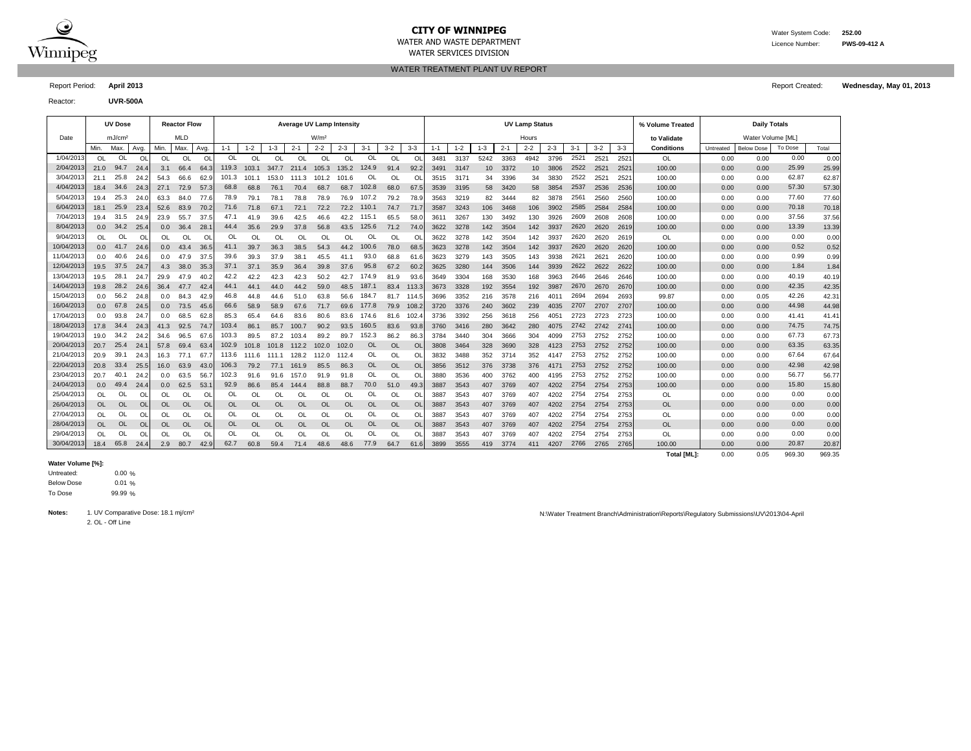

## **CITY OF WINNIPEG** WATER MANUSCRIPED WATER System Code: 252.00

WATER SERVICES DIVISION

WATER TREATMENT PLANT UV REPORT

Reactor: **UVR-500A**

|            |           | <b>UV Dose</b>     |           |           | <b>Reactor Flow</b> |           |           |               |           |           | <b>Average UV Lamp Intensity</b> |           |           |           |                |         |         |                 |         | <b>UV Lamp Status</b> |         |       |         |       | % Volume Treated   |           | <b>Daily Totals</b> |         |        |
|------------|-----------|--------------------|-----------|-----------|---------------------|-----------|-----------|---------------|-----------|-----------|----------------------------------|-----------|-----------|-----------|----------------|---------|---------|-----------------|---------|-----------------------|---------|-------|---------|-------|--------------------|-----------|---------------------|---------|--------|
| Date       |           | mJ/cm <sup>2</sup> |           |           | <b>MLD</b>          |           |           |               |           |           | W/m <sup>2</sup>                 |           |           |           |                |         |         |                 |         | Hours                 |         |       |         |       | to Validate        |           | Water Volume [ML]   |         |        |
|            | Min.      | Max.               | Avg.      | Min.      | Max.                | Avg.      | $1 - 1$   | $1 - 2$       | $1 - 3$   | $2 - 1$   | $2 - 2$                          | $2 - 3$   | $3-1$     | $3 - 2$   | $3 - 3$        | $1 - 1$ | $1 - 2$ | $1 - 3$         | $2 - 1$ | $2 - 2$               | $2 - 3$ | $3-1$ | $3 - 2$ | $3-3$ | <b>Conditions</b>  | Untreated | <b>Below Dose</b>   | To Dose | Total  |
| 1/04/2013  | <b>OL</b> | <b>OL</b>          | OL        | OL        | <b>OL</b>           | OL        | <b>OL</b> | OL            | <b>OL</b> | OL        | OL                               | OL        | OL        | <b>OL</b> | OL             | 3481    | 3137    | 5242            | 3363    | 4942                  | 3796    | 2521  | 2521    | 2521  | OL                 | 0.00      | 0.00                | 0.00    | 0.00   |
| 2/04/2013  | 21.0      | 94.7               | 24.4      | 3.1       | 66.4                | 64.3      | 119.3     | 103.1         | 347.7     | 211.4     | 105.3                            | 135.2     | 124.9     | 91.4      | 92.2           | 3491    | 3147    | 10 <sup>1</sup> | 3372    | 10 <sup>°</sup>       | 3806    | 2522  | 2521    | 2521  | 100.00             | 0.00      | 0.00                | 25.99   | 25.99  |
| 3/04/201   | 21.1      | 25.8               | 24.2      | 54.3      | 66.6                | 62.9      | 101.3     | 101.1         | 153.0     | 111.3     | 101.2                            | 101.6     | OL        | OL        | O              | 3515    | 3171    | 34              | 3396    | 34                    | 3830    | 2522  | 2521    | 2521  | 100.00             | 0.00      | 0.00                | 62.87   | 62.87  |
| 4/04/201   | 18.4      | 34.6               | 24.3      | 27.1      | 72.9                | 57.3      | 68.8      | 68.8          | 76.1      | 70.4      | 68.7                             | 68.7      | 102.8     | 68.0      | 67.5           | 3539    | 3195    | 58              | 3420    | 58                    | 3854    | 2537  | 2536    | 2536  | 100.00             | 0.00      | 0.00                | 57.30   | 57.30  |
| 5/04/201   | 19.4      | 25.3               | 24.0      | 63.3      | 84.0                | 77.6      | 78.9      | 79.1          | 78.1      | 78.8      | 78.9                             | 76.9      | 107.2     | 79.2      | 78.9           | 3563    | 3219    | 82              | 3444    | 82                    | 3878    | 2561  | 2560    | 2560  | 100.00             | 0.00      | 0.00                | 77.60   | 77.60  |
| 6/04/2013  | 18.1      | 25.9               | 23.4      | 52.6      | 83.9                | 70.2      | 71.6      | 71.8          | 67.1      | 72.1      | 72.2                             | 72.2      | 110.1     | 74.7      | 71.7           | 3587    | 3243    | 106             | 3468    | 106                   | 3902    | 2585  | 2584    | 2584  | 100.00             | 0.00      | 0.00                | 70.18   | 70.18  |
| 7/04/201   | 19.4      | 31.5               | 24.9      | 23.9      | 55.7                | 37.5      | 47.1      | 41.9          | 39.6      | 42.5      | 46.6                             | 42.2      | 115.1     | 65.5      | 58.0           | 3611    | 3267    | 130             | 3492    | 130                   | 3926    | 2609  | 2608    | 2608  | 100.00             | 0.00      | 0.00                | 37.56   | 37.56  |
| 8/04/2013  | 0.0       | 34.2               | 25.4      | 0.0       | 36.4                | 28.7      | 44.4      | 35.6          | 29.9      | 37.8      | 56.8                             | 43.5      | 125.6     | 71.2      | 74.0           | 3622    | 3278    | 142             | 3504    | 142                   | 3937    | 2620  | 2620    | 2619  | 100.00             | 0.00      | 0.00                | 13.39   | 13.39  |
| 9/04/201   | OL        | OL                 | OL        | <b>OL</b> | OL                  | <b>OL</b> | OL        | <sup>OL</sup> | OL        | OL        | OL                               | OL        | OL        | OL        | O              | 3622    | 3278    | 142             | 3504    | 142                   | 3937    | 2620  | 2620    | 2619  | OL                 | 0.00      | 0.00                | 0.00    | 0.00   |
| 10/04/2013 | 0.0       | 41.7               | 24.6      | 0.0       | 43.4                | 36.5      | 41.1      | 39.7          | 36.3      | 38.5      | 54.3                             | 44.2      | 100.6     | 78.0      | 68.5           | 3623    | 3278    | 142             | 3504    | 142                   | 3937    | 2620  | 2620    | 2620  | 100.00             | 0.00      | 0.00                | 0.52    | 0.52   |
| 11/04/2013 | 0.0       | 40.6               | 24.6      | 0.0       | 47.9                | 37.5      | 39.6      | 39.3          | 37.9      | 38.7      | 45.5                             | 41.1      | 93.0      | 68.8      | 61.6           | 3623    | 3279    | 143             | 3505    | 143                   | 3938    | 2621  | 2621    | 2620  | 100.00             | 0.00      | 0.00                | 0.99    | 0.99   |
| 12/04/201  | 19.5      | 37.5               | 24.7      | 4.3       | 38.0                | 35.3      | 37.1      | 37.1          | 35.9      | 36.4      | 39.8                             | 37.6      | 95.8      | 67.2      | 60.2           | 3625    | 3280    | 144             | 3506    | 144                   | 3939    | 2622  | 2622    | 2622  | 100.00             | 0.00      | 0.00                | 1.84    | 1.84   |
| 13/04/201  | 19.5      | 28.1               | 24.7      | 29.9      | 47.9                | 40.2      | 42.2      | 42.2          | 42.3      | 42.3      | 50.2                             | 42.7      | 174.9     | 81.9      | 93.6           | 3649    | 3304    | 168             | 3530    | 168                   | 3963    | 2646  | 2646    | 2646  | 100.00             | 0.00      | 0.00                | 40.19   | 40.19  |
| 14/04/201  | 19.8      | 28.2               | 24.6      | 36.4      | 47.7                | 42.4      | 44.1      | 44.1          | 44.0      | 44.2      | 59.0                             | 48.5      | 187.1     | 83.4      | 113.3          | 3673    | 3328    | 192             | 3554    | 192                   | 3987    | 2670  | 2670    | 2670  | 100.00             | 0.00      | 0.00                | 42.35   | 42.35  |
| 15/04/201  | 0.0       | 56.2               | 24.8      | 0.0       | 84.3                | 42.9      | 46.8      | 44.8          | 44.6      | 51.0      | 63.8                             | 56.6      | 184.7     | 81.7      | 114.5          | 3696    | 3352    | 216             | 3578    | 216                   |         | 2694  | 2694    | 2693  | 99.87              | 0.00      | 0.05                | 42.26   | 42.31  |
| 16/04/201  | 0.0       | 67.8               | 24.5      | 0.0       | 73.5                | 45.6      | 66.6      | 58.9          | 58.9      | 67.6      | 71.7                             | 69.6      | 177.8     | 79.9      | 108.2          | 3720    | 3376    | 240             | 3602    | 239                   | 4035    | 2707  | 2707    | 2707  | 100.00             | 0.00      | 0.00                | 44.98   | 44.98  |
| 17/04/201  | 0.0       | 93.8               | 24.7      | 0.0       | 68.5                | 62.8      | 85.3      | 65.4          | 64.6      | 83.6      | 80.6                             | 83.6      | 174.6     | 81.6      | 102.4          | 3736    | 3392    | 256             | 3618    | 256                   | 4051    | 2723  | 2723    | 2723  | 100.00             | 0.00      | 0.00                | 41.41   | 41.41  |
| 18/04/201  | 17.8      | 34.4               | 24.3      | 41.3      | 92.5                | 74.7      | 103.4     | 86.1          | 85.7      | 100.7     | 90.2                             | 93.5      | 160.5     | 83.6      | 93.8           | 3760    | 3416    | 280             | 3642    | 280                   | 4075    | 2742  | 2742    | 2741  | 100.00             | 0.00      | 0.00                | 74.75   | 74.75  |
| 19/04/201  | 19.0      | 34.2               | 24.2      | 34.6      | 96.5                | 67.       | 103.3     | 89.5          | 87.2      | 103.4     | 89.2                             | 89.7      | 152.3     | 86.2      | 86.3           | 3784    | 3440    | 304             | 3666    | 304                   | 4099    | 2753  | 2752    | 2752  | 100.00             | 0.00      | 0.00                | 67.73   | 67.73  |
| 20/04/2013 | 20.7      | 25.4               | 24.1      | 57.8      | 69.4                | 63.4      | 102.9     | 101.8         | 101.8     | 112.2     | 102.0                            | 102.0     | <b>OL</b> | <b>OL</b> | O <sub>l</sub> | 3808    | 3464    | 328             | 3690    | 328                   | 4123    | 2753  | 2752    | 2752  | 100.00             | 0.00      | 0.00                | 63.35   | 63.35  |
| 21/04/2013 | 20.9      | 39.1               | 24.3      | 16.3      | 77.1                | 67.       | 113.6     | 111.6         | 111.1     | 128.2     | 112.0                            | 112.4     | OL        | OL        | O              | 3832    | 3488    | 352             | 3714    | 352                   | 4147    | 2753  | 2752    | 2752  | 100.00             | 0.00      | 0.00                | 67.64   | 67.64  |
| 22/04/2013 | 20.8      | 33.4               | 25.5      | 16.0      | 63.9                | 43.0      | 106.3     | 79.2          | 77.1      | 161.9     | 85.5                             | 86.3      | <b>OL</b> | <b>OL</b> | <b>OL</b>      | 3856    | 3512    | 376             | 3738    | 376                   | 4171    | 2753  | 2752    | 2752  | 100.00             | 0.00      | 0.00                | 42.98   | 42.98  |
| 23/04/2013 | 20.7      | 40.1               | 24.2      | 0.0       | 63.5                | 56.       | 102.3     | 91.6          | 91.6      | 157.0     | 91.9                             | 91.8      | OL        | OL        | O              | 3880    | 3536    | 400             | 3762    | 400                   | 4195    | 2753  | 2752    | 2752  | 100.00             | 0.00      | 0.00                | 56.77   | 56.77  |
| 24/04/2013 | 0.0       | 49.4               | 24.4      | 0.0       | 62.5                | 53.       | 92.9      | 86.6          | 85.4      | 144.4     | 88.8                             | 88.7      | 70.0      | 51.0      | 49.3           | 3887    | 3543    | 407             | 3769    | 407                   | 4202    | 2754  | 2754    | 2753  | 100.00             | 0.00      | 0.00                | 15.80   | 15.80  |
| 25/04/201  | OL        | OL                 | OL        | OL        | OL                  | OL        | OL        | 0l            | OL        | OL        | OL                               | <b>OL</b> | OL        | <b>OL</b> | O              | 3887    | 3543    | 407             | 3769    | 407                   | 4202    | 2754  | 2754    | 2753  | OL                 | 0.00      | 0.00                | 0.00    | 0.00   |
| 26/04/201  | <b>OL</b> | <b>OL</b>          | <b>OL</b> | <b>OL</b> | <b>OL</b>           | <b>OL</b> | OL        | OL            | OL        | <b>OL</b> | <b>OL</b>                        | OL        | <b>OL</b> | <b>OL</b> | OL             | 3887    | 3543    | 407             | 3769    | 407                   | 4202    | 2754  | 2754    | 2753  | <b>OL</b>          | 0.00      | 0.00                | 0.00    | 0.00   |
| 27/04/201  | OL        | OL                 | OL        | OL        | OL                  | OL        | OL        | OL            | OL        | OL        | OL                               | OL        | OL        | OL        | O              | 3887    | 3543    | 407             | 3769    | 407                   | 4202    | 2754  | 2754    | 2753  | OL                 | 0.00      | 0.00                | 0.00    | 0.00   |
| 28/04/201  | <b>OL</b> | <b>OL</b>          | <b>OL</b> | <b>OL</b> | <b>OL</b>           | <b>OL</b> | <b>OL</b> | OL            | <b>OL</b> | <b>OL</b> | <b>OL</b>                        | <b>OL</b> | <b>OL</b> | <b>OL</b> | <b>OL</b>      | 3887    | 3543    | 407             | 3769    | 407                   | 4202    | 2754  | 2754    | 2753  | <b>OL</b>          | 0.00      | 0.00                | 0.00    | 0.00   |
| 29/04/2013 | OL        | OL                 | OL        | OL        | OL                  | OL        | OL        | OL            | OL        | OL        | OL                               | OL        | OL        | OL        | OL             | 3887    | 3543    | 407             | 3769    | 407                   | 4202    | 2754  | 2754    | 2753  | OL                 | 0.00      | 0.00                | 0.00    | 0.00   |
| 30/04/201  | 18.4      | 65.8               | 24.4      | 2.9       | 80.7                | 42.9      | 62.7      | 60.8          | 59.4      | 71.4      | 48.6                             | 48.6      | 77.9      | 64.7      | 61.6           | 3899    | 3555    | 419             | 3774    | 411                   | 4207    | 2766  | 2765    | 2765  | 100.00             | 0.00      | 0.00                | 20.87   | 20.87  |
|            |           |                    |           |           |                     |           |           |               |           |           |                                  |           |           |           |                |         |         |                 |         |                       |         |       |         |       | <b>Total [ML]:</b> | 0.00      | 0.05                | 969.30  | 969.35 |

#### **Water Volume [%]:**

 $0.00%$ 0.01 % 99.99 % To Dose Below Dose Untreated:

2. OL - Off Line

Notes: 1. UV Comparative Dose: 18.1 mj/cm<sup>2</sup> notes: 18.1 mj/cm<sup>2</sup> notes: 18.1 mj/cm<sup>2</sup> notes: 18.1 mj/cm<sup>2</sup> notes: 18.1 mj/cm<sup>2</sup> notes: 18.1 mj/cm<sup>2</sup> notes: 18.1 mj/cm<sup>2</sup> notes: 18.1 mj/cm<sup>2</sup> notes: 18.1 mj/cm<sup>2</sup> notes: 18

Report Period: **April 2013** Report Created: **Wednesday, May 01, 2013**